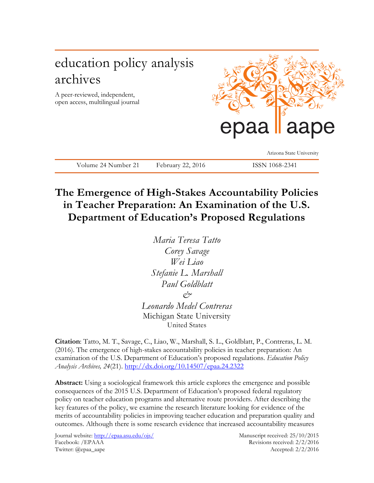# education policy analysis archives

A peer-reviewed, independent, open access, multilingual journal



Arizona State University

**The Emergence of High-Stakes Accountability Policies in Teacher Preparation: An Examination of the U.S. Department of Education's Proposed Regulations**

Volume 24 Number 21 February 22, 2016 ISSN 1068-2341



**Citation**: Tatto, M. T., Savage, C., Liao, W., Marshall, S. L., Goldblatt, P., Contreras, L. M. (2016). The emergence of high-stakes accountability policies in teacher preparation: An examination of the U.S. Department of Education's proposed regulations. *Education Policy Analysis Archives, 24*(21). <http://dx.doi.org/10.14507/epaa.24.2322>

**Abstract:** Using a sociological framework this article explores the emergence and possible consequences of the 2015 U.S. Department of Education's proposed federal regulatory policy on teacher education programs and alternative route providers. After describing the key features of the policy, we examine the research literature looking for evidence of the merits of accountability policies in improving teacher education and preparation quality and outcomes. Although there is some research evidence that increased accountability measures

Journal website:<http://epaa.asu.edu/ojs/> Manuscript received: 25/10/2015 Facebook: /EPAAA Revisions received: 2/2/2016 Twitter: @epaa\_aape Accepted: 2/2/2016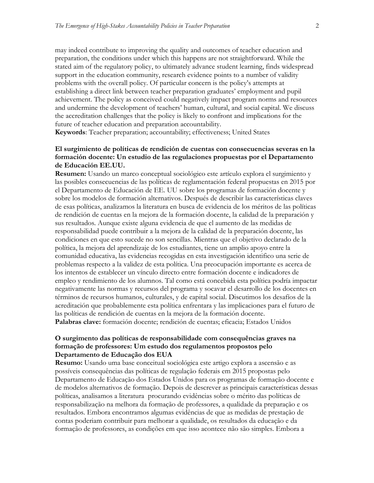may indeed contribute to improving the quality and outcomes of teacher education and preparation, the conditions under which this happens are not straightforward. While the stated aim of the regulatory policy, to ultimately advance student learning, finds widespread support in the education community, research evidence points to a number of validity problems with the overall policy. Of particular concern is the policy's attempts at establishing a direct link between teacher preparation graduates' employment and pupil achievement. The policy as conceived could negatively impact program norms and resources and undermine the development of teachers' human, cultural, and social capital. We discuss the accreditation challenges that the policy is likely to confront and implications for the future of teacher education and preparation accountability.

**Keywords**: Teacher preparation; accountability; effectiveness; United States

# **El surgimiento de políticas de rendición de cuentas con consecuencias severas en la formación docente: Un estudio de las regulaciones propuestas por el Departamento de Educación EE.UU.**

**Resumen:** Usando un marco conceptual sociológico este artículo explora el surgimiento y las posibles consecuencias de las políticas de reglamentación federal propuestas en 2015 por el Departamento de Educación de EE. UU sobre los programas de formación docente y sobre los modelos de formación alternativos. Después de describir las características claves de esas políticas, analizamos la literatura en busca de evidencia de los méritos de las políticas de rendición de cuentas en la mejora de la formación docente, la calidad de la preparación y sus resultados. Aunque existe alguna evidencia de que el aumento de las medidas de responsabilidad puede contribuir a la mejora de la calidad de la preparación docente, las condiciones en que esto sucede no son sencillas. Mientras que el objetivo declarado de la política, la mejora del aprendizaje de los estudiantes, tiene un amplio apoyo entre la comunidad educativa, las evidencias recogidas en esta investigación identifico una serie de problemas respecto a la validez de esta política. Una preocupación importante es acerca de los intentos de establecer un vínculo directo entre formación docente e indicadores de empleo y rendimiento de los alumnos. Tal como está concebida esta política podría impactar negativamente las normas y recursos del programa y socavar el desarrollo de los docentes en términos de recursos humanos, culturales, y de capital social. Discutimos los desafíos de la acreditación que probablemente esta política enfrentara y las implicaciones para el futuro de las políticas de rendición de cuentas en la mejora de la formación docente. **Palabras clave:** formación docente; rendición de cuentas; eficacia; Estados Unidos

# **O surgimento das políticas de responsabilidade com consequências graves na formação de professores: Um estudo dos regulamentos propostos pelo Departamento de Educação dos EUA**

**Resumo:** Usando uma base conceitual sociológica este artigo explora a ascensão e as possíveis consequências das políticas de regulação federais em 2015 propostas pelo Departamento de Educação dos Estados Unidos para os programas de formação docente e de modelos alternativos de formação. Depois de descrever as principais características dessas políticas, analisamos a literatura procurando evidências sobre o mérito das políticas de responsabilização na melhora da formação de professores, a qualidade da preparação e os resultados. Embora encontramos algumas evidências de que as medidas de prestação de contas poderiam contribuir para melhorar a qualidade, os resultados da educação e da formação de professores, as condições em que isso acontece não são simples. Embora a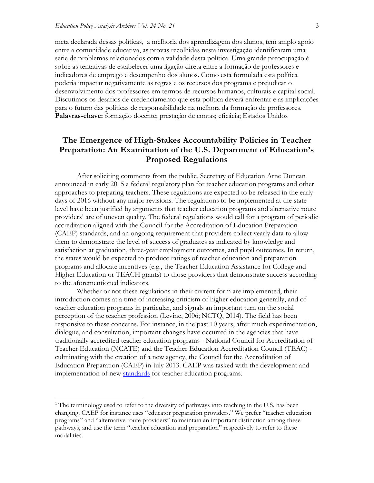meta declarada dessas políticas, a melhoria dos aprendizagem dos alunos, tem amplo apoio entre a comunidade educativa, as provas recolhidas nesta investigação identificaram uma série de problemas relacionados com a validade desta política. Uma grande preocupação é sobre as tentativas de estabelecer uma ligação direta entre a formação de professores e indicadores de emprego e desempenho dos alunos. Como esta formulada esta política poderia impactar negativamente as regras e os recursos dos programa e prejudicar o desenvolvimento dos professores em termos de recursos humanos, culturais e capital social. Discutimos os desafios de credenciamento que esta política deverá enfrentar e as implicações para o futuro das políticas de responsabilidade na melhora da formação de professores. **Palavras-chave:** formação docente; prestação de contas; eficácia; Estados Unidos

# **The Emergence of High-Stakes Accountability Policies in Teacher Preparation: An Examination of the U.S. Department of Education's Proposed Regulations**

After soliciting comments from the public, Secretary of Education Arne Duncan announced in early 2015 a federal regulatory plan for teacher education programs and other approaches to preparing teachers. These regulations are expected to be released in the early days of 2016 without any major revisions. The regulations to be implemented at the state level have been justified by arguments that teacher education programs and alternative route providers<sup>1</sup> are of uneven quality. The federal regulations would call for a program of periodic accreditation aligned with the Council for the Accreditation of Education Preparation (CAEP) standards, and an ongoing requirement that providers collect yearly data to allow them to demonstrate the level of success of graduates as indicated by knowledge and satisfaction at graduation, three-year employment outcomes, and pupil outcomes. In return, the states would be expected to produce ratings of teacher education and preparation programs and allocate incentives (e.g., the Teacher Education Assistance for College and Higher Education or TEACH grants) to those providers that demonstrate success according to the aforementioned indicators.

Whether or not these regulations in their current form are implemented, their introduction comes at a time of increasing criticism of higher education generally, and of teacher education programs in particular, and signals an important turn on the social perception of the teacher profession (Levine, 2006; NCTQ, 2014). The field has been responsive to these concerns. For instance, in the past 10 years, after much experimentation, dialogue, and consultation, important changes have occurred in the agencies that have traditionally accredited teacher education programs - National Council for Accreditation of Teacher Education (NCATE) and the Teacher Education Accreditation Council (TEAC) culminating with the creation of a new agency, the Council for the Accreditation of Education Preparation (CAEP) in July 2013. CAEP was tasked with the development and implementation of new [standards](http://caepnet.org/standards/introduction) for teacher education programs.

 $\overline{a}$ 

<sup>&</sup>lt;sup>1</sup> The terminology used to refer to the diversity of pathways into teaching in the U.S. has been changing. CAEP for instance uses "educator preparation providers." We prefer "teacher education programs" and "alternative route providers" to maintain an important distinction among these pathways, and use the term "teacher education and preparation" respectively to refer to these modalities.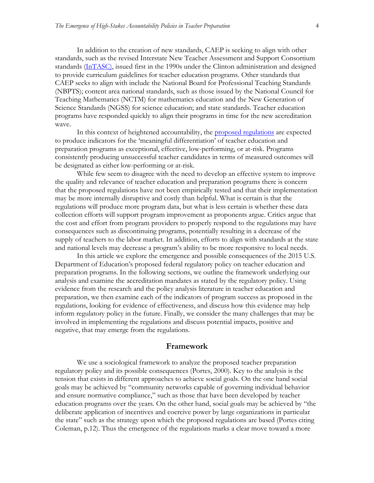In addition to the creation of new standards, CAEP is seeking to align with other standards, such as the revised Interstate New Teacher Assessment and Support Consortium standards [\(InTASC\)](http://www.ccsso.org/Resources/Publications/InTASC_Model_Core_Teaching_Standards_A_Resource_for_State_Dialogue_(April_2011).html), issued first in the 1990s under the Clinton administration and designed to provide curriculum guidelines for teacher education programs. Other standards that CAEP seeks to align with include the National Board for Professional Teaching Standards (NBPTS); content area national standards, such as those issued by the National Council for Teaching Mathematics (NCTM) for mathematics education and the New Generation of Science Standards (NGSS) for science education; and state standards. Teacher education programs have responded quickly to align their programs in time for the new accreditation wave.

In this context of heightened accountability, the [proposed regulations](https://www.federalregister.gov/articles/2014/12/03/2014-28218/teacher-preparation-issues) are expected to produce indicators for the 'meaningful differentiation' of teacher education and preparation programs as exceptional, effective, low-performing, or at-risk. Programs consistently producing unsuccessful teacher candidates in terms of measured outcomes will be designated as either low-performing or at-risk.

While few seem to disagree with the need to develop an effective system to improve the quality and relevance of teacher education and preparation programs there is concern that the proposed regulations have not been empirically tested and that their implementation may be more internally disruptive and costly than helpful. What is certain is that the regulations will produce more program data, but what is less certain is whether these data collection efforts will support program improvement as proponents argue. Critics argue that the cost and effort from program providers to properly respond to the regulations may have consequences such as discontinuing programs, potentially resulting in a decrease of the supply of teachers to the labor market. In addition, efforts to align with standards at the state and national levels may decrease a program's ability to be more responsive to local needs.

In this article we explore the emergence and possible consequences of the 2015 U.S. Department of Education's proposed federal regulatory policy on teacher education and preparation programs. In the following sections, we outline the framework underlying our analysis and examine the accreditation mandates as stated by the regulatory policy. Using evidence from the research and the policy analysis literature in teacher education and preparation, we then examine each of the indicators of program success as proposed in the regulations, looking for evidence of effectiveness, and discuss how this evidence may help inform regulatory policy in the future. Finally, we consider the many challenges that may be involved in implementing the regulations and discuss potential impacts, positive and negative, that may emerge from the regulations.

#### **Framework**

We use a sociological framework to analyze the proposed teacher preparation regulatory policy and its possible consequences (Portes, 2000). Key to the analysis is the tension that exists in different approaches to achieve social goals. On the one hand social goals may be achieved by "community networks capable of governing individual behavior and ensure normative compliance," such as those that have been developed by teacher education programs over the years. On the other hand, social goals may be achieved by "the deliberate application of incentives and coercive power by large organizations in particular the state" such as the strategy upon which the proposed regulations are based (Portes citing Coleman, p.12). Thus the emergence of the regulations marks a clear move toward a more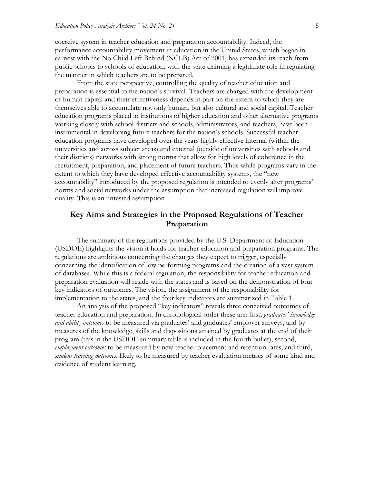coercive system in teacher education and preparation accountability. Indeed, the performance accountability movement in education in the United States, which began in earnest with the No Child Left Behind (NCLB) Act of 2001, has expanded its reach from public schools to schools of education, with the state claiming a legitimate role in regulating the manner in which teachers are to be prepared.

From the state perspective, controlling the quality of teacher education and preparation is essential to the nation's survival. Teachers are charged with the development of human capital and their effectiveness depends in part on the extent to which they are themselves able to accumulate not only human, but also cultural and social capital. Teacher education programs placed in institutions of higher education and other alternative programs working closely with school districts and schools, administrators, and teachers, have been instrumental in developing future teachers for the nation's schools. Successful teacher education programs have developed over the years highly effective internal (within the universities and across subject areas) and external (outside of universities with schools and their districts) networks with strong norms that allow for high levels of coherence in the recruitment, preparation, and placement of future teachers. Thus while programs vary in the extent to which they have developed effective accountability systems, the "new accountability" introduced by the proposed regulation is intended to evenly alter programs' norms and social networks under the assumption that increased regulation will improve quality. This is an untested assumption.

# **Key Aims and Strategies in the Proposed Regulations of Teacher Preparation**

The summary of the regulations provided by the U.S. Department of Education (USDOE) highlights the vision it holds for teacher education and preparation programs. The regulations are ambitious concerning the changes they expect to trigger, especially concerning the identification of low performing programs and the creation of a vast system of databases. While this is a federal regulation, the responsibility for teacher education and preparation evaluation will reside with the states and is based on the demonstration of four key indicators of outcomes. The vision, the assignment of the responsibility for implementation to the states, and the four key indicators are summarized in Table 1.

An analysis of the proposed "key indicators" reveals three conceived outcomes of teacher education and preparation. In chronological order these are: first, *graduates' knowledge and ability outcomes* to be measured via graduates' and graduates' employer surveys, and by measures of the knowledge, skills and dispositions attained by graduates at the end of their program (this in the USDOE summary table is included in the fourth bullet); second, *employment outcomes* to be measured by new teacher placement and retention rates; and third, *student learning outcomes*, likely to be measured by teacher evaluation metrics of some kind and evidence of student learning.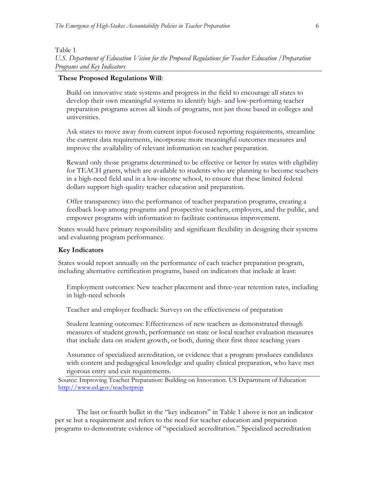#### Table 1

*U.S. Department of Education Vision for the Proposed Regulations for Teacher Education /Preparation Programs and Key Indicators*

## **These Proposed Regulations Will**:

Build on innovative state systems and progress in the field to encourage all states to develop their own meaningful systems to identify high- and low-performing teacher preparation programs across all kinds of programs, not just those based in colleges and universities.

Ask states to move away from current input-focused reporting requirements, streamline the current data requirements, incorporate more meaningful outcomes measures and improve the availability of relevant information on teacher preparation.

Reward only those programs determined to be effective or better by states with eligibility for TEACH grants, which are available to students who are planning to become teachers in a high-need field and in a low-income school, to ensure that these limited federal dollars support high-quality teacher education and preparation.

Offer transparency into the performance of teacher preparation programs, creating a feedback loop among programs and prospective teachers, employers, and the public, and empower programs with information to facilitate continuous improvement.

States would have primary responsibility and significant flexibility in designing their systems and evaluating program performance.

### **Key Indicators**

States would report annually on the performance of each teacher preparation program, including alternative certification programs, based on indicators that include at least:

Employment outcomes: New teacher placement and three-year retention rates, including in high-need schools

Teacher and employer feedback: Surveys on the effectiveness of preparation

Student learning outcomes: Effectiveness of new teachers as demonstrated through measures of student growth, performance on state or local teacher evaluation measures that include data on student growth, or both, during their first three teaching years

Assurance of specialized accreditation, or evidence that a program produces candidates with content and pedagogical knowledge and quality clinical preparation, who have met rigorous entry and exit requirements.

Source: Improving Teacher Preparation: Building on Innovation. US Department of Education <http://www.ed.gov/teacherprep>

The last or fourth bullet in the "key indicators" in Table 1 above is not an indicator per se but a requirement and refers to the need for teacher education and preparation programs to demonstrate evidence of "specialized accreditation." Specialized accreditation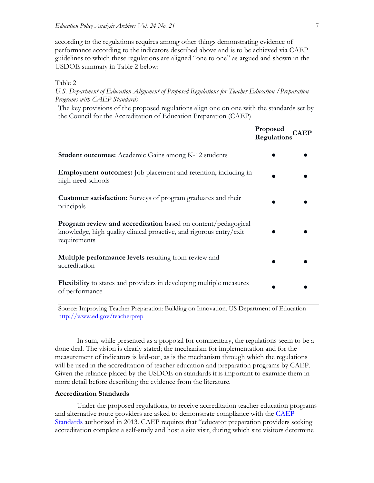according to the regulations requires among other things demonstrating evidence of performance according to the indicators described above and is to be achieved via CAEP guidelines to which these regulations are aligned "one to one" as argued and shown in the USDOE summary in Table 2 below:

Table 2

*U.S. Department of Education Alignment of Proposed Regulations for Teacher Education /Preparation Programs with CAEP Standards*

The key provisions of the proposed regulations align one on one with the standards set by the Council for the Accreditation of Education Preparation (CAEP)

|                                                                                                                                                             | Proposed<br>Regulations | CAEP |
|-------------------------------------------------------------------------------------------------------------------------------------------------------------|-------------------------|------|
| Student outcomes: Academic Gains among K-12 students                                                                                                        |                         |      |
| <b>Employment outcomes:</b> Job placement and retention, including in<br>high-need schools                                                                  |                         |      |
| <b>Customer satisfaction:</b> Surveys of program graduates and their<br>principals                                                                          |                         |      |
| <b>Program review and accreditation</b> based on content/pedagogical<br>knowledge, high quality clinical proactive, and rigorous entry/exit<br>requirements |                         |      |
| <b>Multiple performance levels</b> resulting from review and<br>accreditation                                                                               |                         |      |
| <b>Flexibility</b> to states and providers in developing multiple measures<br>of performance                                                                |                         |      |

Source: Improving Teacher Preparation: Building on Innovation. US Department of Education <http://www.ed.gov/teacherprep>

In sum, while presented as a proposal for commentary, the regulations seem to be a done deal. The vision is clearly stated; the mechanism for implementation and for the measurement of indicators is laid-out, as is the mechanism through which the regulations will be used in the accreditation of teacher education and preparation programs by CAEP. Given the reliance placed by the USDOE on standards it is important to examine them in more detail before describing the evidence from the literature.

# **Accreditation Standards**

Under the proposed regulations, to receive accreditation teacher education programs and alternative route providers are asked to demonstrate compliance with the CAEP [Standards](http://caepnet.org/standards/introduction) authorized in 2013. CAEP requires that "educator preparation providers seeking accreditation complete a self-study and host a site visit, during which site visitors determine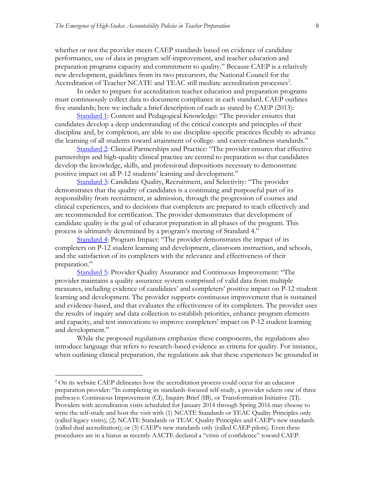whether or not the provider meets CAEP standards based on evidence of candidate performance, use of data in program self-improvement, and teacher education and preparation programs capacity and commitment to quality." Because CAEP is a relatively new development, guidelines from its two precursors, the National Council for the Accreditation of Teacher NCATE and TEAC still mediate accreditation processes<sup>2</sup>.

In order to prepare for accreditation teacher education and preparation programs must continuously collect data to document compliance in each standard. CAEP outlines five standards; here we include a brief description of each as stated by CAEP (2013):

[Standard 1](http://caepnet.org/standards/standards/standard1/): Content and Pedagogical Knowledge: "The provider ensures that candidates develop a deep understanding of the critical concepts and principles of their discipline and, by completion, are able to use discipline-specific practices flexibly to advance the learning of all students toward attainment of college- and career-readiness standards."

[Standard 2](http://caepnet.org/standards/standards/standard2/): Clinical Partnerships and Practice: "The provider ensures that effective partnerships and high-quality clinical practice are central to preparation so that candidates develop the knowledge, skills, and professional dispositions necessary to demonstrate positive impact on all P-12 students' learning and development."

[Standard 3](http://caepnet.org/standards/standards/standard-3-candidate-quality-recruitment-and-selectivity/): Candidate Quality, Recruitment, and Selectivity: "The provider demonstrates that the quality of candidates is a continuing and purposeful part of its responsibility from recruitment, at admission, through the progression of courses and clinical experiences, and to decisions that completers are prepared to teach effectively and are recommended for certification. The provider demonstrates that development of candidate quality is the goal of educator preparation in all phases of the program. This process is ultimately determined by a program's meeting of Standard 4."

[Standard 4:](http://caepnet.org/standards/standards/standard4/) Program Impact: "The provider demonstrates the impact of its completers on P-12 student learning and development, classroom instruction, and schools, and the satisfaction of its completers with the relevance and effectiveness of their preparation."

[Standard 5](http://caepnet.org/standards/standards/standard5/): Provider Quality Assurance and Continuous Improvement: "The provider maintains a quality assurance system comprised of valid data from multiple measures, including evidence of candidates' and completers' positive impact on P-12 student learning and development. The provider supports continuous improvement that is sustained and evidence-based, and that evaluates the effectiveness of its completers. The provider uses the results of inquiry and data collection to establish priorities, enhance program elements and capacity, and test innovations to improve completers' impact on P-12 student learning and development."

While the proposed regulations emphasize these components, the regulations also introduce language that refers to research-based evidence as criteria for quality. For instance, when outlining clinical preparation, the regulations ask that these experiences be grounded in

 $\overline{a}$ 

<sup>&</sup>lt;sup>2</sup> On its website CAEP delineates how the accreditation process could occur for an educator preparation provider: "In completing its standards-focused self-study, a provider selects one of three pathways: Continuous Improvement (CI), Inquiry Brief (IB), or Transformation Initiative (TI). Providers with accreditation visits scheduled for January 2014 through Spring 2016 may choose to write the self-study and host the visit with (1) NCATE Standards or TEAC Quality Principles only (called legacy visits); (2) NCATE Standards or TEAC Quality Principles and CAEP's new standards (called dual accreditation); or (3) CAEP's new standards only (called CAEP pilots). Even these procedures are in a hiatus as recently AACTE declared a "crisis of confidence" toward CAEP.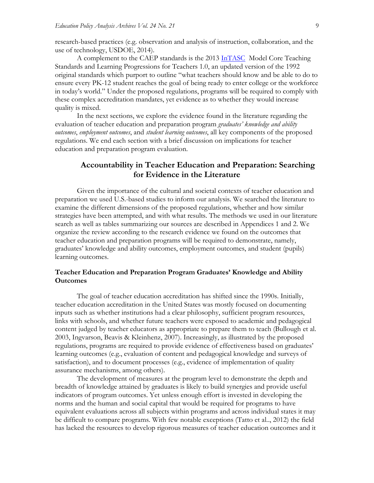research-based practices (e.g. observation and analysis of instruction, collaboration, and the use of technology, USDOE, 2014).

A complement to the CAEP standards is the 2013 [InTASC](http://www.ccsso.org/Resources/Programs/Interstate_Teacher_Assessment_Consortium_(InTASC).html) Model Core Teaching Standards and Learning Progressions for Teachers 1.0, an updated version of the 1992 original standards which purport to outline "what teachers should know and be able to do to ensure every PK-12 student reaches the goal of being ready to enter college or the workforce in today's world." Under the proposed regulations, programs will be required to comply with these complex accreditation mandates, yet evidence as to whether they would increase quality is mixed.

In the next sections, we explore the evidence found in the literature regarding the evaluation of teacher education and preparation program *graduates' knowledge and ability outcomes*, *employment outcomes*, and *student learning outcomes*, all key components of the proposed regulations. We end each section with a brief discussion on implications for teacher education and preparation program evaluation.

# **Accountability in Teacher Education and Preparation: Searching for Evidence in the Literature**

Given the importance of the cultural and societal contexts of teacher education and preparation we used U.S.-based studies to inform our analysis. We searched the literature to examine the different dimensions of the proposed regulations, whether and how similar strategies have been attempted, and with what results. The methods we used in our literature search as well as tables summarizing our sources are described in Appendices 1 and 2. We organize the review according to the research evidence we found on the outcomes that teacher education and preparation programs will be required to demonstrate, namely, graduates' knowledge and ability outcomes, employment outcomes, and student (pupils) learning outcomes.

# **Teacher Education and Preparation Program Graduates' Knowledge and Ability Outcomes**

The goal of teacher education accreditation has shifted since the 1990s. Initially, teacher education accreditation in the United States was mostly focused on documenting inputs such as whether institutions had a clear philosophy, sufficient program resources, links with schools, and whether future teachers were exposed to academic and pedagogical content judged by teacher educators as appropriate to prepare them to teach (Bullough et al. 2003, Ingvarson, Beavis & Kleinhenz, 2007). Increasingly, as illustrated by the proposed regulations, programs are required to provide evidence of effectiveness based on graduates' learning outcomes (e.g., evaluation of content and pedagogical knowledge and surveys of satisfaction), and to document processes (e.g., evidence of implementation of quality assurance mechanisms, among others).

The development of measures at the program level to demonstrate the depth and breadth of knowledge attained by graduates is likely to build synergies and provide useful indicators of program outcomes. Yet unless enough effort is invested in developing the norms and the human and social capital that would be required for programs to have equivalent evaluations across all subjects within programs and across individual states it may be difficult to compare programs. With few notable exceptions (Tatto et al.., 2012) the field has lacked the resources to develop rigorous measures of teacher education outcomes and it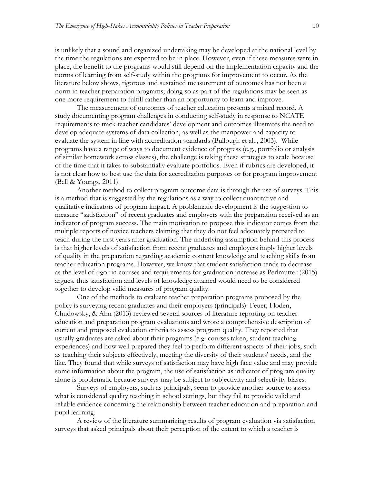is unlikely that a sound and organized undertaking may be developed at the national level by the time the regulations are expected to be in place. However, even if these measures were in place, the benefit to the programs would still depend on the implementation capacity and the norms of learning from self-study within the programs for improvement to occur. As the literature below shows, rigorous and sustained measurement of outcomes has not been a norm in teacher preparation programs; doing so as part of the regulations may be seen as one more requirement to fulfill rather than an opportunity to learn and improve.

The measurement of outcomes of teacher education presents a mixed record. A study documenting program challenges in conducting self-study in response to NCATE requirements to track teacher candidates' development and outcomes illustrates the need to develop adequate systems of data collection, as well as the manpower and capacity to evaluate the system in line with accreditation standards (Bullough et al.., 2003). While programs have a range of ways to document evidence of progress (e.g., portfolio or analysis of similar homework across classes), the challenge is taking these strategies to scale because of the time that it takes to substantially evaluate portfolios. Even if rubrics are developed, it is not clear how to best use the data for accreditation purposes or for program improvement (Bell & Youngs, 2011).

Another method to collect program outcome data is through the use of surveys. This is a method that is suggested by the regulations as a way to collect quantitative and qualitative indicators of program impact. A problematic development is the suggestion to measure "satisfaction" of recent graduates and employers with the preparation received as an indicator of program success. The main motivation to propose this indicator comes from the multiple reports of novice teachers claiming that they do not feel adequately prepared to teach during the first years after graduation. The underlying assumption behind this process is that higher levels of satisfaction from recent graduates and employers imply higher levels of quality in the preparation regarding academic content knowledge and teaching skills from teacher education programs. However, we know that student satisfaction tends to decrease as the level of rigor in courses and requirements for graduation increase as [Perlmutter](https://shar.es/12Rxn2) (2015) argues, thus satisfaction and levels of knowledge attained would need to be considered together to develop valid measures of program quality.

One of the methods to evaluate teacher preparation programs proposed by the policy is surveying recent graduates and their employers (principals). Feuer, Floden, Chudowsky, & Ahn (2013) reviewed several sources of literature reporting on teacher education and preparation program evaluations and wrote a comprehensive description of current and proposed evaluation criteria to assess program quality. They reported that usually graduates are asked about their programs (e.g. courses taken, student teaching experiences) and how well prepared they feel to perform different aspects of their jobs, such as teaching their subjects effectively, meeting the diversity of their students' needs, and the like. They found that while surveys of satisfaction may have high face value and may provide some information about the program, the use of satisfaction as indicator of program quality alone is problematic because surveys may be subject to subjectivity and selectivity biases.

Surveys of employers, such as principals, seem to provide another source to assess what is considered quality teaching in school settings, but they fail to provide valid and reliable evidence concerning the relationship between teacher education and preparation and pupil learning.

A review of the literature summarizing results of program evaluation via satisfaction surveys that asked principals about their perception of the extent to which a teacher is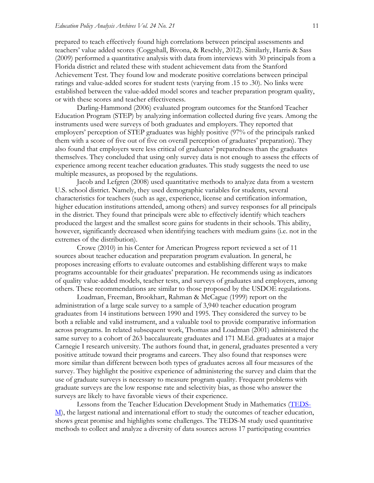prepared to teach effectively found high correlations between principal assessments and teachers' value added scores (Coggshall, Bivona, & Reschly, 2012). Similarly, Harris & Sass (2009) performed a quantitative analysis with data from interviews with 30 principals from a Florida district and related these with student achievement data from the Stanford Achievement Test. They found low and moderate positive correlations between principal ratings and value-added scores for student tests (varying from .15 to .30). No links were established between the value-added model scores and teacher preparation program quality, or with these scores and teacher effectiveness.

Darling-Hammond (2006) evaluated program outcomes for the Stanford Teacher Education Program (STEP) by analyzing information collected during five years. Among the instruments used were surveys of both graduates and employers. They reported that employers' perception of STEP graduates was highly positive (97% of the principals ranked them with a score of five out of five on overall perception of graduates' preparation). They also found that employers were less critical of graduates' preparedness than the graduates themselves. They concluded that using only survey data is not enough to assess the effects of experience among recent teacher education graduates. This study suggests the need to use multiple measures, as proposed by the regulations.

Jacob and Lefgren (2008) used quantitative methods to analyze data from a western U.S. school district. Namely, they used demographic variables for students, several characteristics for teachers (such as age, experience, license and certification information, higher education institutions attended, among others) and survey responses for all principals in the district. They found that principals were able to effectively identify which teachers produced the largest and the smallest score gains for students in their schools. This ability, however, significantly decreased when identifying teachers with medium gains (i.e. not in the extremes of the distribution).

Crowe (2010) in his Center for American Progress report reviewed a set of 11 sources about teacher education and preparation program evaluation. In general, he proposes increasing efforts to evaluate outcomes and establishing different ways to make programs accountable for their graduates' preparation. He recommends using as indicators of quality value-added models, teacher tests, and surveys of graduates and employers, among others. These recommendations are similar to those proposed by the USDOE regulations.

Loadman, Freeman, Brookhart, Rahman & McCague (1999) report on the administration of a large scale survey to a sample of 3,940 teacher education program graduates from 14 institutions between 1990 and 1995. They considered the survey to be both a reliable and valid instrument, and a valuable tool to provide comparative information across programs. In related subsequent work, Thomas and Loadman (2001) administered the same survey to a cohort of 263 baccalaureate graduates and 171 M.Ed. graduates at a major Carnegie I research university. The authors found that, in general, graduates presented a very positive attitude toward their programs and careers. They also found that responses were more similar than different between both types of graduates across all four measures of the survey. They highlight the positive experience of administering the survey and claim that the use of graduate surveys is necessary to measure program quality. Frequent problems with graduate surveys are the low response rate and selectivity bias, as those who answer the surveys are likely to have favorable views of their experience.

Lessons from the Teacher Education Development Study in Mathematics [\(TEDS-](http://www.iea.nl/teds-m.html) $M$ ), the largest national and international effort to study the outcomes of teacher education, shows great promise and highlights some challenges. The TEDS-M study used quantitative methods to collect and analyze a diversity of data sources across 17 participating countries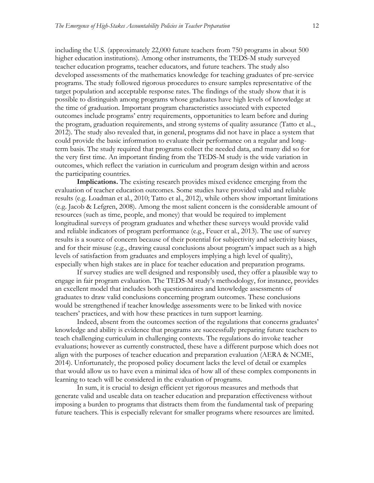including the U.S. (approximately 22,000 future teachers from 750 programs in about 500 higher education institutions). Among other instruments, the TEDS-M study surveyed teacher education programs, teacher educators, and future teachers. The study also developed assessments of the mathematics knowledge for teaching graduates of pre-service programs. The study followed rigorous procedures to ensure samples representative of the target population and acceptable response rates. The findings of the study show that it is possible to distinguish among programs whose graduates have high levels of knowledge at the time of graduation. Important program characteristics associated with expected outcomes include programs' entry requirements, opportunities to learn before and during the program, graduation requirements, and strong systems of quality assurance (Tatto et al.., 2012). The study also revealed that, in general, programs did not have in place a system that could provide the basic information to evaluate their performance on a regular and longterm basis. The study required that programs collect the needed data, and many did so for the very first time. An important finding from the TEDS-M study is the wide variation in outcomes, which reflect the variation in curriculum and program design within and across the participating countries.

**Implications.** The existing research provides mixed evidence emerging from the evaluation of teacher education outcomes. Some studies have provided valid and reliable results (e.g. Loadman et al., 2010; Tatto et al., 2012), while others show important limitations (e.g. Jacob & Lefgren, 2008). Among the most salient concern is the considerable amount of resources (such as time, people, and money) that would be required to implement longitudinal surveys of program graduates and whether these surveys would provide valid and reliable indicators of program performance (e.g., Feuer et al., 2013). The use of survey results is a source of concern because of their potential for subjectivity and selectivity biases, and for their misuse (e.g., drawing causal conclusions about program's impact such as a high levels of satisfaction from graduates and employers implying a high level of quality), especially when high stakes are in place for teacher education and preparation programs.

If survey studies are well designed and responsibly used, they offer a plausible way to engage in fair program evaluation. The TEDS-M study's methodology, for instance, provides an excellent model that includes both questionnaires and knowledge assessments of graduates to draw valid conclusions concerning program outcomes. These conclusions would be strengthened if teacher knowledge assessments were to be linked with novice teachers' practices, and with how these practices in turn support learning.

Indeed, absent from the outcomes section of the regulations that concerns graduates' knowledge and ability is evidence that programs are successfully preparing future teachers to teach challenging curriculum in challenging contexts. The regulations do invoke teacher evaluations; however as currently constructed, these have a different purpose which does not align with the purposes of teacher education and preparation evaluation (AERA & NCME, 2014). Unfortunately, the proposed policy document lacks the level of detail or examples that would allow us to have even a minimal idea of how all of these complex components in learning to teach will be considered in the evaluation of programs.

In sum, it is crucial to design efficient yet rigorous measures and methods that generate valid and useable data on teacher education and preparation effectiveness without imposing a burden to programs that distracts them from the fundamental task of preparing future teachers. This is especially relevant for smaller programs where resources are limited.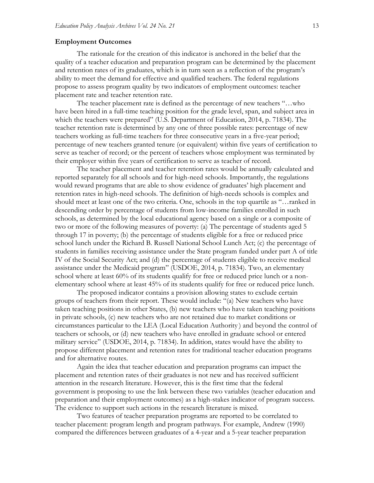#### **Employment Outcomes**

The rationale for the creation of this indicator is anchored in the belief that the quality of a teacher education and preparation program can be determined by the placement and retention rates of its graduates, which is in turn seen as a reflection of the program's ability to meet the demand for effective and qualified teachers. The federal regulations propose to assess program quality by two indicators of employment outcomes: teacher placement rate and teacher retention rate.

The teacher placement rate is defined as the percentage of new teachers "…who have been hired in a full-time teaching position for the grade level, span, and subject area in which the teachers were prepared" (U.S. Department of Education, 2014, p. 71834). The teacher retention rate is determined by any one of three possible rates: percentage of new teachers working as full-time teachers for three consecutive years in a five-year period; percentage of new teachers granted tenure (or equivalent) within five years of certification to serve as teacher of record; or the percent of teachers whose employment was terminated by their employer within five years of certification to serve as teacher of record.

The teacher placement and teacher retention rates would be annually calculated and reported separately for all schools and for high-need schools. Importantly, the regulations would reward programs that are able to show evidence of graduates' high placement and retention rates in high-need schools. The definition of high-needs schools is complex and should meet at least one of the two criteria. One, schools in the top quartile as "…ranked in descending order by percentage of students from low-income families enrolled in such schools, as determined by the local educational agency based on a single or a composite of two or more of the following measures of poverty: (a) The percentage of students aged 5 through 17 in poverty; (b) the percentage of students eligible for a free or reduced price school lunch under the Richard B. Russell National School Lunch Act; (c) the percentage of students in families receiving assistance under the State program funded under part A of title IV of the Social Security Act; and (d) the percentage of students eligible to receive medical assistance under the Medicaid program" (USDOE, 2014, p. 71834). Two, an elementary school where at least 60% of its students qualify for free or reduced price lunch or a nonelementary school where at least 45% of its students qualify for free or reduced price lunch.

The proposed indicator contains a provision allowing states to exclude certain groups of teachers from their report. These would include: "(a) New teachers who have taken teaching positions in other States, (b) new teachers who have taken teaching positions in private schools, (c) new teachers who are not retained due to market conditions or circumstances particular to the LEA (Local Education Authority ) and beyond the control of teachers or schools, or (d) new teachers who have enrolled in graduate school or entered military service" (USDOE, 2014, p. 71834). In addition, states would have the ability to propose different placement and retention rates for traditional teacher education programs and for alternative routes.

Again the idea that teacher education and preparation programs can impact the placement and retention rates of their graduates is not new and has received sufficient attention in the research literature. However, this is the first time that the federal government is proposing to use the link between these two variables (teacher education and preparation and their employment outcomes) as a high-stakes indicator of program success. The evidence to support such actions in the research literature is mixed.

Two features of teacher preparation programs are reported to be correlated to teacher placement: program length and program pathways. For example, Andrew (1990) compared the differences between graduates of a 4-year and a 5-year teacher preparation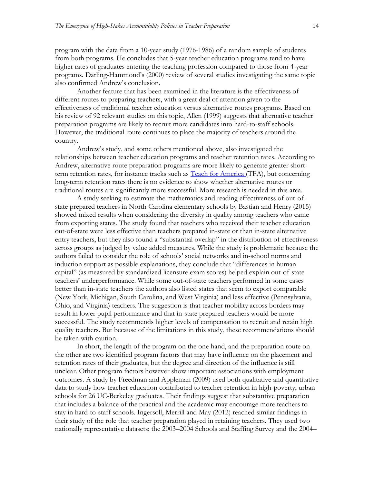program with the data from a 10-year study (1976-1986) of a random sample of students from both programs. He concludes that 5-year teacher education programs tend to have higher rates of graduates entering the teaching profession compared to those from 4-year programs. Darling-Hammond's (2000) review of several studies investigating the same topic also confirmed Andrew's conclusion.

Another feature that has been examined in the literature is the effectiveness of different routes to preparing teachers, with a great deal of attention given to the effectiveness of traditional teacher education versus alternative routes programs. Based on his review of 92 relevant studies on this topic, Allen (1999) suggests that alternative teacher preparation programs are likely to recruit more candidates into hard-to-staff schools. However, the traditional route continues to place the majority of teachers around the country.

Andrew's study, and some others mentioned above, also investigated the relationships between teacher education programs and teacher retention rates. According to Andrew, alternative route preparation programs are more likely to generate greater shortterm retention rates, for instance tracks such as [Teach for America](https://www.teachforamerica.org/) (TFA), but concerning long-term retention rates there is no evidence to show whether alternative routes or traditional routes are significantly more successful. More research is needed in this area.

A study seeking to estimate the mathematics and reading effectiveness of out-ofstate prepared teachers in North Carolina elementary schools by Bastian and Henry (2015) showed mixed results when considering the diversity in quality among teachers who came from exporting states. The study found that teachers who received their teacher education out-of-state were less effective than teachers prepared in-state or than in-state alternative entry teachers, but they also found a "substantial overlap" in the distribution of effectiveness across groups as judged by value added measures. While the study is problematic because the authors failed to consider the role of schools' social networks and in-school norms and induction support as possible explanations, they conclude that "differences in human capital" (as measured by standardized licensure exam scores) helped explain out-of-state teachers' underperformance. While some out-of-state teachers performed in some cases better than in-state teachers the authors also listed states that seem to export comparable (New York, Michigan, South Carolina, and West Virginia) and less effective (Pennsylvania, Ohio, and Virginia) teachers. The suggestion is that teacher mobility across borders may result in lower pupil performance and that in-state prepared teachers would be more successful. The study recommends higher levels of compensation to recruit and retain high quality teachers. But because of the limitations in this study, these recommendations should be taken with caution.

In short, the length of the program on the one hand, and the preparation route on the other are two identified program factors that may have influence on the placement and retention rates of their graduates, but the degree and direction of the influence is still unclear. Other program factors however show important associations with employment outcomes. A study by Freedman and Appleman (2009) used both qualitative and quantitative data to study how teacher education contributed to teacher retention in high-poverty, urban schools for 26 UC-Berkeley graduates. Their findings suggest that substantive preparation that includes a balance of the practical and the academic may encourage more teachers to stay in hard-to-staff schools. Ingersoll, Merrill and May (2012) reached similar findings in their study of the role that teacher preparation played in retaining teachers. They used two nationally representative datasets: the 2003–2004 Schools and Staffing Survey and the 2004–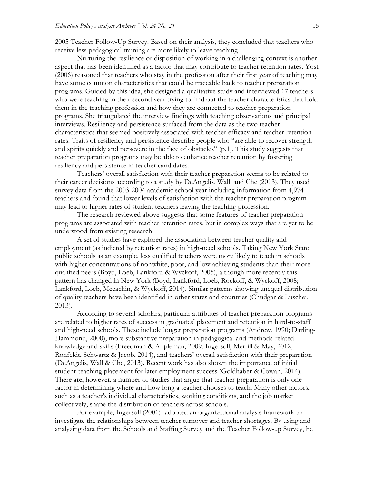2005 Teacher Follow-Up Survey. Based on their analysis, they concluded that teachers who receive less pedagogical training are more likely to leave teaching.

Nurturing the resilience or disposition of working in a challenging context is another aspect that has been identified as a factor that may contribute to teacher retention rates. Yost (2006) reasoned that teachers who stay in the profession after their first year of teaching may have some common characteristics that could be traceable back to teacher preparation programs. Guided by this idea, she designed a qualitative study and interviewed 17 teachers who were teaching in their second year trying to find out the teacher characteristics that hold them in the teaching profession and how they are connected to teacher preparation programs. She triangulated the interview findings with teaching observations and principal interviews. Resiliency and persistence surfaced from the data as the two teacher characteristics that seemed positively associated with teacher efficacy and teacher retention rates. Traits of resiliency and persistence describe people who "are able to recover strength and spirits quickly and persevere in the face of obstacles" (p.1). This study suggests that teacher preparation programs may be able to enhance teacher retention by fostering resiliency and persistence in teacher candidates.

Teachers' overall satisfaction with their teacher preparation seems to be related to their career decisions according to a study by DeAngelis, Wall, and Che (2013). They used survey data from the 2003-2004 academic school year including information from 4,974 teachers and found that lower levels of satisfaction with the teacher preparation program may lead to higher rates of student teachers leaving the teaching profession.

The research reviewed above suggests that some features of teacher preparation programs are associated with teacher retention rates, but in complex ways that are yet to be understood from existing research.

A set of studies have explored the association between teacher quality and employment (as indicted by retention rates) in high-need schools. Taking New York State public schools as an example, less qualified teachers were more likely to teach in schools with higher concentrations of nonwhite, poor, and low achieving students than their more qualified peers (Boyd, Loeb, Lankford & Wyckoff, 2005), although more recently this pattern has changed in New York (Boyd, Lankford, Loeb, Rockoff, & Wyckoff, 2008; Lankford, Loeb, Mceachin, & Wyckoff, 2014). Similar patterns showing unequal distribution of quality teachers have been identified in other states and countries (Chudgar & Luschei, 2013).

According to several scholars, particular attributes of teacher preparation programs are related to higher rates of success in graduates' placement and retention in hard-to-staff and high-need schools. These include longer preparation programs (Andrew, 1990; Darling-Hammond, 2000), more substantive preparation in pedagogical and methods-related knowledge and skills (Freedman & Appleman, 2009; Ingersoll, Merrill & May, 2012; Ronfeldt, Schwartz & Jacob, 2014), and teachers' overall satisfaction with their preparation (DeAngelis, Wall & Che, 2013). Recent work has also shown the importance of initial student-teaching placement for later employment success (Goldhaber & Cowan, 2014). There are, however, a number of studies that argue that teacher preparation is only one factor in determining where and how long a teacher chooses to teach. Many other factors, such as a teacher's individual characteristics, working conditions, and the job market collectively, shape the distribution of teachers across schools.

For example, Ingersoll (2001) adopted an organizational analysis framework to investigate the relationships between teacher turnover and teacher shortages. By using and analyzing data from the Schools and Staffing Survey and the Teacher Follow-up Survey, he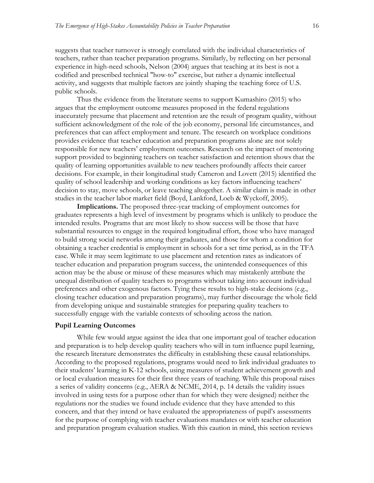suggests that teacher turnover is strongly correlated with the individual characteristics of teachers, rather than teacher preparation programs. Similarly, by reflecting on her personal experience in high-need schools, Nelson (2004) argues that teaching at its best is not a codified and prescribed technical "how-to" exercise, but rather a dynamic intellectual activity, and suggests that multiple factors are jointly shaping the teaching force of U.S. public schools.

Thus the evidence from the literature seems to support Kumashiro (2015) who argues that the employment outcome measures proposed in the federal regulations inaccurately presume that placement and retention are the result of program quality, without sufficient acknowledgment of the role of the job economy, personal life circumstances, and preferences that can affect employment and tenure. The research on workplace conditions provides evidence that teacher education and preparation programs alone are not solely responsible for new teachers' employment outcomes. Research on the impact of mentoring support provided to beginning teachers on teacher satisfaction and retention shows that the quality of learning opportunities available to new teachers profoundly affects their career decisions. For example, in their longitudinal study Cameron and Lovett (2015) identified the quality of school leadership and working conditions as key factors influencing teachers' decision to stay, move schools, or leave teaching altogether. A similar claim is made in other studies in the teacher labor market field (Boyd, Lankford, Loeb & Wyckoff, 2005).

**Implications.** The proposed three-year tracking of employment outcomes for graduates represents a high level of investment by programs which is unlikely to produce the intended results. Programs that are most likely to show success will be those that have substantial resources to engage in the required longitudinal effort, those who have managed to build strong social networks among their graduates, and those for whom a condition for obtaining a teacher credential is employment in schools for a set time period, as in the TFA case. While it may seem legitimate to use placement and retention rates as indicators of teacher education and preparation program success, the unintended consequences of this action may be the abuse or misuse of these measures which may mistakenly attribute the unequal distribution of quality teachers to programs without taking into account individual preferences and other exogenous factors. Tying these results to high-stake decisions (e.g., closing teacher education and preparation programs), may further discourage the whole field from developing unique and sustainable strategies for preparing quality teachers to successfully engage with the variable contexts of schooling across the nation.

#### **Pupil Learning Outcomes**

While few would argue against the idea that one important goal of teacher education and preparation is to help develop quality teachers who will in turn influence pupil learning, the research literature demonstrates the difficulty in establishing these causal relationships. According to the proposed regulations, programs would need to link individual graduates to their students' learning in K-12 schools, using measures of student achievement growth and or local evaluation measures for their first three years of teaching. While this proposal raises a series of validity concerns (e.g., AERA & NCME, 2014, p. 14 details the validity issues involved in using tests for a purpose other than for which they were designed) neither the regulations nor the studies we found include evidence that they have attended to this concern, and that they intend or have evaluated the appropriateness of pupil's assessments for the purpose of complying with teacher evaluations mandates or with teacher education and preparation program evaluation studies. With this caution in mind, this section reviews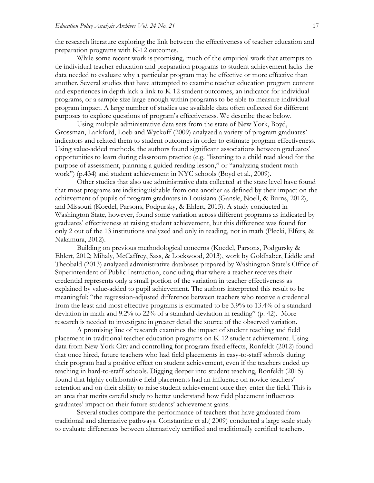the research literature exploring the link between the effectiveness of teacher education and preparation programs with K-12 outcomes.

While some recent work is promising, much of the empirical work that attempts to tie individual teacher education and preparation programs to student achievement lacks the data needed to evaluate why a particular program may be effective or more effective than another. Several studies that have attempted to examine teacher education program content and experiences in depth lack a link to K-12 student outcomes, an indicator for individual programs, or a sample size large enough within programs to be able to measure individual program impact. A large number of studies use available data often collected for different purposes to explore questions of program's effectiveness. We describe these below.

Using multiple administrative data sets from the state of New York, Boyd, Grossman, Lankford, Loeb and Wyckoff (2009) analyzed a variety of program graduates' indicators and related them to student outcomes in order to estimate program effectiveness. Using value-added methods, the authors found significant associations between graduates' opportunities to learn during classroom practice (e.g. "listening to a child read aloud for the purpose of assessment, planning a guided reading lesson," or "analyzing student math work") (p.434) and student achievement in NYC schools (Boyd et al., 2009).

Other studies that also use administrative data collected at the state level have found that most programs are indistinguishable from one another as defined by their impact on the achievement of pupils of program graduates in Louisiana (Gansle, Noell, & Burns, 2012), and Missouri (Koedel, Parsons, Podgursky, & Ehlert, 2015). A study conducted in Washington State, however, found some variation across different programs as indicated by graduates' effectiveness at raising student achievement, but this difference was found for only 2 out of the 13 institutions analyzed and only in reading, not in math (Plecki, Elfers, & Nakamura, 2012).

Building on previous methodological concerns (Koedel, Parsons, Podgursky & Ehlert, 2012; Mihaly, McCaffrey, Sass, & Lockwood, 2013), work by Goldhaber, Liddle and Theobald (2013) analyzed administrative databases prepared by Washington State's Office of Superintendent of Public Instruction, concluding that where a teacher receives their credential represents only a small portion of the variation in teacher effectiveness as explained by value-added to pupil achievement. The authors interpreted this result to be meaningful: "the regression-adjusted difference between teachers who receive a credential from the least and most effective programs is estimated to be 3.9% to 13.4% of a standard deviation in math and 9.2% to 22% of a standard deviation in reading" (p. 42). More research is needed to investigate in greater detail the source of the observed variation.

A promising line of research examines the impact of student teaching and field placement in traditional teacher education programs on K-12 student achievement. Using data from New York City and controlling for program fixed effects, Ronfeldt (2012) found that once hired, future teachers who had field placements in easy-to-staff schools during their program had a positive effect on student achievement, even if the teachers ended up teaching in hard-to-staff schools. Digging deeper into student teaching, Ronfeldt (2015) found that highly collaborative field placements had an influence on novice teachers' retention and on their ability to raise student achievement once they enter the field. This is an area that merits careful study to better understand how field placement influences graduates' impact on their future students' achievement gains.

Several studies compare the performance of teachers that have graduated from traditional and alternative pathways. Constantine et al.( 2009) conducted a large scale study to evaluate differences between alternatively certified and traditionally certified teachers.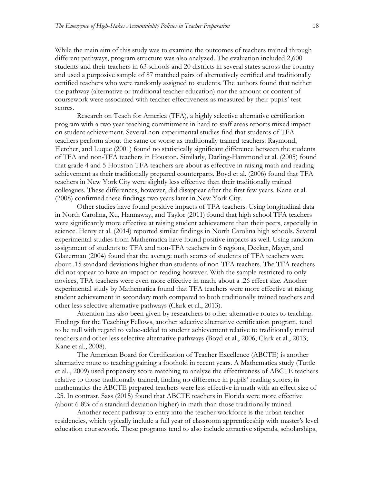While the main aim of this study was to examine the outcomes of teachers trained through different pathways, program structure was also analyzed. The evaluation included 2,600 students and their teachers in 63 schools and 20 districts in several states across the country and used a purposive sample of 87 matched pairs of alternatively certified and traditionally certified teachers who were randomly assigned to students. The authors found that neither the pathway (alternative or traditional teacher education) nor the amount or content of coursework were associated with teacher effectiveness as measured by their pupils' test scores.

Research on Teach for America (TFA), a highly selective alternative certification program with a two year teaching commitment in hard to staff areas reports mixed impact on student achievement. Several non-experimental studies find that students of TFA teachers perform about the same or worse as traditionally trained teachers. Raymond, Fletcher, and Luque (2001) found no statistically significant difference between the students of TFA and non-TFA teachers in Houston. Similarly, Darling-Hammond et al. (2005) found that grade 4 and 5 Houston TFA teachers are about as effective in raising math and reading achievement as their traditionally prepared counterparts. Boyd et al. (2006) found that TFA teachers in New York City were slightly less effective than their traditionally trained colleagues. These differences, however, did disappear after the first few years. Kane et al. (2008) confirmed these findings two years later in New York City.

Other studies have found positive impacts of TFA teachers. Using longitudinal data in North Carolina, Xu, Hannaway, and Taylor (2011) found that high school TFA teachers were significantly more effective at raising student achievement than their peers, especially in science. Henry et al. (2014) reported similar findings in North Carolina high schools. Several experimental studies from Mathematica have found positive impacts as well. Using random assignment of students to TFA and non-TFA teachers in 6 regions, Decker, Mayer, and Glazerman (2004) found that the average math scores of students of TFA teachers were about .15 standard deviations higher than students of non-TFA teachers. The TFA teachers did not appear to have an impact on reading however. With the sample restricted to only novices, TFA teachers were even more effective in math, about a .26 effect size. Another experimental study by Mathematica found that TFA teachers were more effective at raising student achievement in secondary math compared to both traditionally trained teachers and other less selective alternative pathways (Clark et al., 2013).

Attention has also been given by researchers to other alternative routes to teaching. Findings for the Teaching Fellows, another selective alternative certification program, tend to be null with regard to value-added to student achievement relative to traditionally trained teachers and other less selective alternative pathways (Boyd et al., 2006; Clark et al., 2013; Kane et al., 2008).

The American Board for Certification of Teacher Excellence (ABCTE) is another alternative route to teaching gaining a foothold in recent years. A Mathematica study (Tuttle et al.., 2009) used propensity score matching to analyze the effectiveness of ABCTE teachers relative to those traditionally trained, finding no difference in pupils' reading scores; in mathematics the ABCTE prepared teachers were less effective in math with an effect size of .25. In contrast, Sass (2015) found that ABCTE teachers in Florida were more effective (about 6-8% of a standard deviation higher) in math than those traditionally trained.

Another recent pathway to entry into the teacher workforce is the urban teacher residencies, which typically include a full year of classroom apprenticeship with master's level education coursework. These programs tend to also include attractive stipends, scholarships,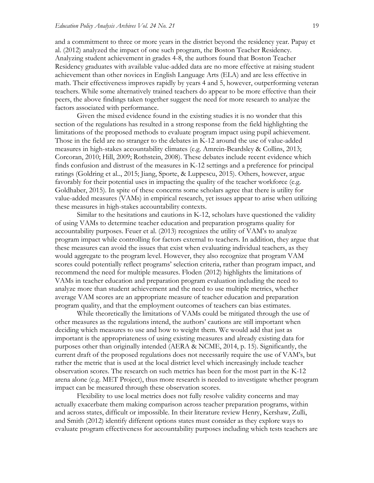and a commitment to three or more years in the district beyond the residency year. Papay et al. (2012) analyzed the impact of one such program, the Boston Teacher Residency. Analyzing student achievement in grades 4-8, the authors found that Boston Teacher Residency graduates with available value-added data are no more effective at raising student achievement than other novices in English Language Arts (ELA) and are less effective in math. Their effectiveness improves rapidly by years 4 and 5, however, outperforming veteran teachers. While some alternatively trained teachers do appear to be more effective than their peers, the above findings taken together suggest the need for more research to analyze the factors associated with performance.

Given the mixed evidence found in the existing studies it is no wonder that this section of the regulations has resulted in a strong response from the field highlighting the limitations of the proposed methods to evaluate program impact using pupil achievement. Those in the field are no stranger to the debates in K-12 around the use of value-added measures in high-stakes accountability climates (e.g. Amrein-Beardsley & Collins, 2013; Corcoran, 2010; Hill, 2009; Rothstein, 2008). These debates include recent evidence which finds confusion and distrust of the measures in K-12 settings and a preference for principal ratings (Goldring et al.., 2015; Jiang, Sporte, & Luppescu, 2015). Others, however, argue favorably for their potential uses in impacting the quality of the teacher workforce (e.g. Goldhaber, 2015). In spite of these concerns some scholars agree that there is utility for value-added measures (VAMs) in empirical research, yet issues appear to arise when utilizing these measures in high-stakes accountability contexts.

Similar to the hesitations and cautions in K-12, scholars have questioned the validity of using VAMs to determine teacher education and preparation programs quality for accountability purposes. Feuer et al. (2013) recognizes the utility of VAM's to analyze program impact while controlling for factors external to teachers. In addition, they argue that these measures can avoid the issues that exist when evaluating individual teachers, as they would aggregate to the program level. However, they also recognize that program VAM scores could potentially reflect programs' selection criteria, rather than program impact, and recommend the need for multiple measures. Floden (2012) highlights the limitations of VAMs in teacher education and preparation program evaluation including the need to analyze more than student achievement and the need to use multiple metrics, whether average VAM scores are an appropriate measure of teacher education and preparation program quality, and that the employment outcomes of teachers can bias estimates.

While theoretically the limitations of VAMs could be mitigated through the use of other measures as the regulations intend, the authors' cautions are still important when deciding which measures to use and how to weight them. We would add that just as important is the appropriateness of using existing measures and already existing data for purposes other than originally intended (AERA & NCME, 2014, p. 15). Significantly, the current draft of the proposed regulations does not necessarily require the use of VAM's, but rather the metric that is used at the local district level which increasingly include teacher observation scores. The research on such metrics has been for the most part in the K-12 arena alone (e.g. MET Project), thus more research is needed to investigate whether program impact can be measured through these observation scores.

Flexibility to use local metrics does not fully resolve validity concerns and may actually exacerbate them making comparison across teacher preparation programs, within and across states, difficult or impossible. In their literature review Henry, Kershaw, Zulli, and Smith (2012) identify different options states must consider as they explore ways to evaluate program effectiveness for accountability purposes including which tests teachers are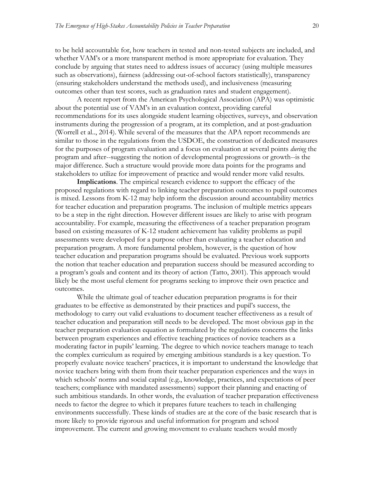to be held accountable for, how teachers in tested and non-tested subjects are included, and whether VAM's or a more transparent method is more appropriate for evaluation. They conclude by arguing that states need to address issues of accuracy (using multiple measures such as observations), fairness (addressing out-of-school factors statistically), transparency (ensuring stakeholders understand the methods used), and inclusiveness (measuring outcomes other than test scores, such as graduation rates and student engagement).

A recent report from the American Psychological Association (APA) was optimistic about the potential use of VAM's in an evaluation context, providing careful recommendations for its uses alongside student learning objectives, surveys, and observation instruments during the progression of a program, at its completion, and at post-graduation (Worrell et al.., 2014). While several of the measures that the APA report recommends are similar to those in the regulations from the USDOE, the construction of dedicated measures for the purposes of program evaluation and a focus on evaluation at several points *during* the program and after--suggesting the notion of developmental progressions or growth--is the major difference. Such a structure would provide more data points for the programs and stakeholders to utilize for improvement of practice and would render more valid results.

**Implications**. The empirical research evidence to support the efficacy of the proposed regulations with regard to linking teacher preparation outcomes to pupil outcomes is mixed. Lessons from K-12 may help inform the discussion around accountability metrics for teacher education and preparation programs. The inclusion of multiple metrics appears to be a step in the right direction. However different issues are likely to arise with program accountability. For example, measuring the effectiveness of a teacher preparation program based on existing measures of K-12 student achievement has validity problems as pupil assessments were developed for a purpose other than evaluating a teacher education and preparation program. A more fundamental problem, however, is the question of how teacher education and preparation programs should be evaluated. Previous work supports the notion that teacher education and preparation success should be measured according to a program's goals and content and its theory of action (Tatto, 2001). This approach would likely be the most useful element for programs seeking to improve their own practice and outcomes.

While the ultimate goal of teacher education preparation programs is for their graduates to be effective as demonstrated by their practices and pupil's success, the methodology to carry out valid evaluations to document teacher effectiveness as a result of teacher education and preparation still needs to be developed. The most obvious gap in the teacher preparation evaluation equation as formulated by the regulations concerns the links between program experiences and effective teaching practices of novice teachers as a moderating factor in pupils' learning. The degree to which novice teachers manage to teach the complex curriculum as required by emerging ambitious standards is a key question. To properly evaluate novice teachers' practices, it is important to understand the knowledge that novice teachers bring with them from their teacher preparation experiences and the ways in which schools' norms and social capital (e.g., knowledge, practices, and expectations of peer teachers; compliance with mandated assessments) support their planning and enacting of such ambitious standards. In other words, the evaluation of teacher preparation effectiveness needs to factor the degree to which it prepares future teachers to teach in challenging environments successfully. These kinds of studies are at the core of the basic research that is more likely to provide rigorous and useful information for program and school improvement. The current and growing movement to evaluate teachers would mostly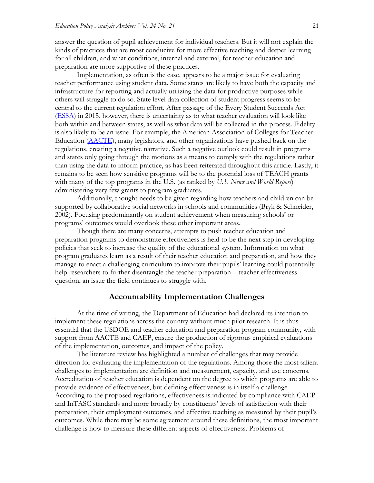answer the question of pupil achievement for individual teachers. But it will not explain the kinds of practices that are most conducive for more effective teaching and deeper learning for all children, and what conditions, internal and external, for teacher education and preparation are more supportive of these practices.

Implementation, as often is the case, appears to be a major issue for evaluating teacher performance using student data. Some states are likely to have both the capacity and infrastructure for reporting and actually utilizing the data for productive purposes while others will struggle to do so. State level data collection of student progress seems to be central to the current regulation effort. After passage of the Every Student Succeeds Act [\(ESSA\)](http://www.ed.gov/essa) in 2015, however, there is uncertainty as to what teacher evaluation will look like both within and between states, as well as what data will be collected in the process. Fidelity is also likely to be an issue. For example, the American Association of Colleges for Teacher Education [\(AACTE\)](http://aacte.org/resources/regulations), many legislators, and other organizations have pushed back on the regulations, creating a negative narrative. Such a negative outlook could result in programs and states only going through the motions as a means to comply with the regulations rather than using the data to inform practice, as has been reiterated throughout this article. Lastly, it remains to be seen how sensitive programs will be to the potential loss of TEACH grants with many of the top programs in the U.S. (as ranked by *U.S. News and World Report*) administering very few grants to program graduates.

Additionally, thought needs to be given regarding how teachers and children can be supported by collaborative social networks in schools and communities (Bryk & Schneider, 2002). Focusing predominantly on student achievement when measuring schools' or programs' outcomes would overlook these other important areas.

Though there are many concerns, attempts to push teacher education and preparation programs to demonstrate effectiveness is held to be the next step in developing policies that seek to increase the quality of the educational system. Information on what program graduates learn as a result of their teacher education and preparation, and how they manage to enact a challenging curriculum to improve their pupils' learning could potentially help researchers to further disentangle the teacher preparation – teacher effectiveness question, an issue the field continues to struggle with.

### **Accountability Implementation Challenges**

At the time of writing, the Department of Education had declared its intention to implement these regulations across the country without much pilot research. It is thus essential that the USDOE and teacher education and preparation program community, with support from AACTE and CAEP, ensure the production of rigorous empirical evaluations of the implementation, outcomes, and impact of the policy.

The literature review has highlighted a number of challenges that may provide direction for evaluating the implementation of the regulations. Among those the most salient challenges to implementation are definition and measurement, capacity, and use concerns. Accreditation of teacher education is dependent on the degree to which programs are able to provide evidence of effectiveness, but defining effectiveness is in itself a challenge. According to the proposed regulations, effectiveness is indicated by compliance with CAEP and InTASC standards and more broadly by constituents' levels of satisfaction with their preparation, their employment outcomes, and effective teaching as measured by their pupil's outcomes. While there may be some agreement around these definitions, the most important challenge is how to measure these different aspects of effectiveness. Problems of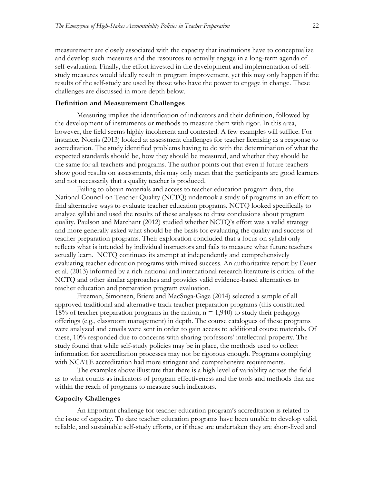measurement are closely associated with the capacity that institutions have to conceptualize and develop such measures and the resources to actually engage in a long-term agenda of self-evaluation. Finally, the effort invested in the development and implementation of selfstudy measures would ideally result in program improvement, yet this may only happen if the results of the self-study are used by those who have the power to engage in change. These challenges are discussed in more depth below.

#### **Definition and Measurement Challenges**

Measuring implies the identification of indicators and their definition, followed by the development of instruments or methods to measure them with rigor. In this area, however, the field seems highly incoherent and contested. A few examples will suffice. For instance, Norris (2013) looked at assessment challenges for teacher licensing as a response to accreditation. The study identified problems having to do with the determination of what the expected standards should be, how they should be measured, and whether they should be the same for all teachers and programs. The author points out that even if future teachers show good results on assessments, this may only mean that the participants are good learners and not necessarily that a quality teacher is produced.

Failing to obtain materials and access to teacher education program data, the National Council on Teacher Quality (NCTQ) undertook a study of programs in an effort to find alternative ways to evaluate teacher education programs. NCTQ looked specifically to analyze syllabi and used the results of these analyses to draw conclusions about program quality. Paulson and Marchant (2012) studied whether NCTQ's effort was a valid strategy and more generally asked what should be the basis for evaluating the quality and success of teacher preparation programs. Their exploration concluded that a focus on syllabi only reflects what is intended by individual instructors and fails to measure what future teachers actually learn. NCTQ continues its attempt at independently and comprehensively evaluating teacher education programs with mixed success. An authoritative report by Feuer et al. (2013) informed by a rich national and international research literature is critical of the NCTQ and other similar approaches and provides valid evidence-based alternatives to teacher education and preparation program evaluation.

Freeman, Simonsen, Briere and MacSuga-Gage (2014) selected a sample of all approved traditional and alternative track teacher preparation programs (this constituted 18% of teacher preparation programs in the nation;  $n = 1,940$  to study their pedagogy offerings (e.g., classroom management) in depth. The course catalogues of these programs were analyzed and emails were sent in order to gain access to additional course materials. Of these, 10% responded due to concerns with sharing professors' intellectual property. The study found that while self-study policies may be in place, the methods used to collect information for accreditation processes may not be rigorous enough. Programs complying with NCATE accreditation had more stringent and comprehensive requirements.

The examples above illustrate that there is a high level of variability across the field as to what counts as indicators of program effectiveness and the tools and methods that are within the reach of programs to measure such indicators.

#### **Capacity Challenges**

An important challenge for teacher education program's accreditation is related to the issue of capacity. To date teacher education programs have been unable to develop valid, reliable, and sustainable self-study efforts, or if these are undertaken they are short-lived and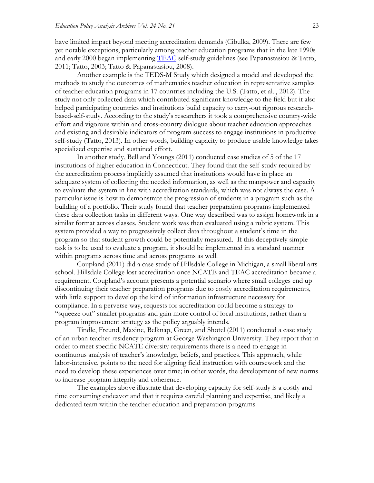have limited impact beyond meeting accreditation demands (Cibulka, 2009). There are few yet notable exceptions, particularly among teacher education programs that in the late 1990s and early 2000 began implementing [TEAC](http://www.teac.org/) self-study guidelines (see Papanastasiou & Tatto, 2011; Tatto, 2003; Tatto & Papanastasiou, 2008).

Another example is the TEDS-M Study which designed a model and developed the methods to study the outcomes of mathematics teacher education in representative samples of teacher education programs in 17 countries including the U.S. (Tatto, et al.., 2012). The study not only collected data which contributed significant knowledge to the field but it also helped participating countries and institutions build capacity to carry-out rigorous researchbased-self-study. According to the study's researchers it took a comprehensive country-wide effort and vigorous within and cross-country dialogue about teacher education approaches and existing and desirable indicators of program success to engage institutions in productive self-study (Tatto, 2013). In other words, building capacity to produce usable knowledge takes specialized expertise and sustained effort.

In another study, Bell and Youngs (2011) conducted case studies of 5 of the 17 institutions of higher education in Connecticut. They found that the self-study required by the accreditation process implicitly assumed that institutions would have in place an adequate system of collecting the needed information, as well as the manpower and capacity to evaluate the system in line with accreditation standards, which was not always the case. A particular issue is how to demonstrate the progression of students in a program such as the building of a portfolio. Their study found that teacher preparation programs implemented these data collection tasks in different ways. One way described was to assign homework in a similar format across classes. Student work was then evaluated using a rubric system. This system provided a way to progressively collect data throughout a student's time in the program so that student growth could be potentially measured. If this deceptively simple task is to be used to evaluate a program, it should be implemented in a standard manner within programs across time and across programs as well.

Coupland (2011) did a case study of Hillsdale College in Michigan, a small liberal arts school. Hillsdale College lost accreditation once NCATE and TEAC accreditation became a requirement. Coupland's account presents a potential scenario where small colleges end up discontinuing their teacher preparation programs due to costly accreditation requirements, with little support to develop the kind of information infrastructure necessary for compliance. In a perverse way, requests for accreditation could become a strategy to "squeeze out" smaller programs and gain more control of local institutions, rather than a program improvement strategy as the policy arguably intends.

Tindle, Freund, Maxine, Belknap, Green, and Shotel (2011) conducted a case study of an urban teacher residency program at George Washington University. They report that in order to meet specific NCATE diversity requirements there is a need to engage in continuous analysis of teacher's knowledge, beliefs, and practices. This approach, while labor-intensive, points to the need for aligning field instruction with coursework and the need to develop these experiences over time; in other words, the development of new norms to increase program integrity and coherence.

The examples above illustrate that developing capacity for self-study is a costly and time consuming endeavor and that it requires careful planning and expertise, and likely a dedicated team within the teacher education and preparation programs.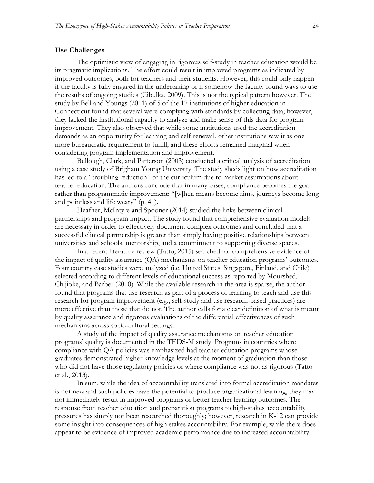#### **Use Challenges**

The optimistic view of engaging in rigorous self-study in teacher education would be its pragmatic implications. The effort could result in improved programs as indicated by improved outcomes, both for teachers and their students. However, this could only happen if the faculty is fully engaged in the undertaking or if somehow the faculty found ways to use the results of ongoing studies (Cibulka, 2009). This is not the typical pattern however. The study by Bell and Youngs (2011) of 5 of the 17 institutions of higher education in Connecticut found that several were complying with standards by collecting data; however, they lacked the institutional capacity to analyze and make sense of this data for program improvement. They also observed that while some institutions used the accreditation demands as an opportunity for learning and self-renewal, other institutions saw it as one more bureaucratic requirement to fulfill, and these efforts remained marginal when considering program implementation and improvement.

Bullough, Clark, and Patterson (2003) conducted a critical analysis of accreditation using a case study of Brigham Young University. The study sheds light on how accreditation has led to a "troubling reduction" of the curriculum due to market assumptions about teacher education. The authors conclude that in many cases, compliance becomes the goal rather than programmatic improvement: "[w]hen means become aims, journeys become long and pointless and life weary" (p. 41)*.*

Heafner, McIntyre and Spooner (2014) studied the links between clinical partnerships and program impact. The study found that comprehensive evaluation models are necessary in order to effectively document complex outcomes and concluded that a successful clinical partnership is greater than simply having positive relationships between universities and schools, mentorship, and a commitment to supporting diverse spaces.

In a recent literature review (Tatto, 2015) searched for comprehensive evidence of the impact of quality assurance (QA) mechanisms on teacher education programs' outcomes. Four country case studies were analyzed (i.e. United States, Singapore, Finland, and Chile) selected according to different levels of educational success as reported by Mourshed, Chijioke, and Barber (2010). While the available research in the area is sparse, the author found that programs that use research as part of a process of learning to teach and use this research for program improvement (e.g., self-study and use research-based practices) are more effective than those that do not. The author calls for a clear definition of what is meant by quality assurance and rigorous evaluations of the differential effectiveness of such mechanisms across socio-cultural settings.

A study of the impact of quality assurance mechanisms on teacher education programs' quality is documented in the TEDS-M study. Programs in countries where compliance with QA policies was emphasized had teacher education programs whose graduates demonstrated higher knowledge levels at the moment of graduation than those who did not have those regulatory policies or where compliance was not as rigorous (Tatto et al., 2013).

In sum, while the idea of accountability translated into formal accreditation mandates is not new and such policies have the potential to produce organizational learning, they may not immediately result in improved programs or better teacher learning outcomes. The response from teacher education and preparation programs to high-stakes accountability pressures has simply not been researched thoroughly; however, research in K-12 can provide some insight into consequences of high stakes accountability. For example, while there does appear to be evidence of improved academic performance due to increased accountability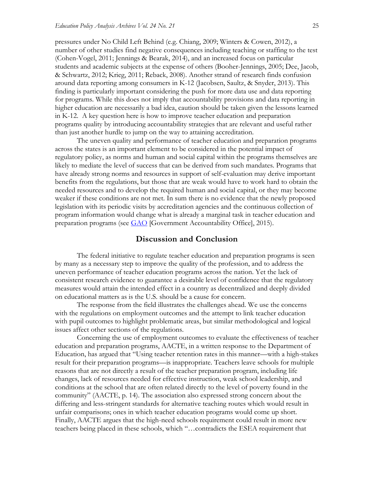pressures under No Child Left Behind (e.g. Chiang, 2009; Winters & Cowen, 2012), a number of other studies find negative consequences including teaching or staffing to the test (Cohen-Vogel, 2011; Jennings & Bearak, 2014), and an increased focus on particular students and academic subjects at the expense of others (Booher-Jennings, 2005; Dee, Jacob, & Schwartz, 2012; Krieg, 2011; Reback, 2008). Another strand of research finds confusion around data reporting among consumers in K-12 (Jacobsen, Saultz, & Snyder, 2013). This finding is particularly important considering the push for more data use and data reporting for programs. While this does not imply that accountability provisions and data reporting in higher education are necessarily a bad idea, caution should be taken given the lessons learned in K-12. A key question here is how to improve teacher education and preparation programs quality by introducing accountability strategies that are relevant and useful rather than just another hurdle to jump on the way to attaining accreditation.

The uneven quality and performance of teacher education and preparation programs across the states is an important element to be considered in the potential impact of regulatory policy, as norms and human and social capital within the programs themselves are likely to mediate the level of success that can be derived from such mandates. Programs that have already strong norms and resources in support of self-evaluation may derive important benefits from the regulations, but those that are weak would have to work hard to obtain the needed resources and to develop the required human and social capital, or they may become weaker if these conditions are not met. In sum there is no evidence that the newly proposed legislation with its periodic visits by accreditation agencies and the continuous collection of program information would change what is already a marginal task in teacher education and preparation programs (see [GAO](http://www.gao.gov/assets/680/671603.pdf) [Government Accountability Office], 2015).

# **Discussion and Conclusion**

The federal initiative to regulate teacher education and preparation programs is seen by many as a necessary step to improve the quality of the profession, and to address the uneven performance of teacher education programs across the nation. Yet the lack of consistent research evidence to guarantee a desirable level of confidence that the regulatory measures would attain the intended effect in a country as decentralized and deeply divided on educational matters as is the U.S. should be a cause for concern.

The response from the field illustrates the challenges ahead. We use the concerns with the regulations on employment outcomes and the attempt to link teacher education with pupil outcomes to highlight problematic areas, but similar methodological and logical issues affect other sections of the regulations.

Concerning the use of employment outcomes to evaluate the effectiveness of teacher education and preparation programs, AACTE, in a written response to the Department of Education, has argued that "Using teacher retention rates in this manner—with a high-stakes result for their preparation programs—is inappropriate. Teachers leave schools for multiple reasons that are not directly a result of the teacher preparation program, including life changes, lack of resources needed for effective instruction, weak school leadership, and conditions at the school that are often related directly to the level of poverty found in the community" (AACTE, p. 14). The association also expressed strong concern about the differing and less-stringent standards for alternative teaching routes which would result in unfair comparisons; ones in which teacher education programs would come up short. Finally, AACTE argues that the high-need schools requirement could result in more new teachers being placed in these schools, which "…contradicts the ESEA requirement that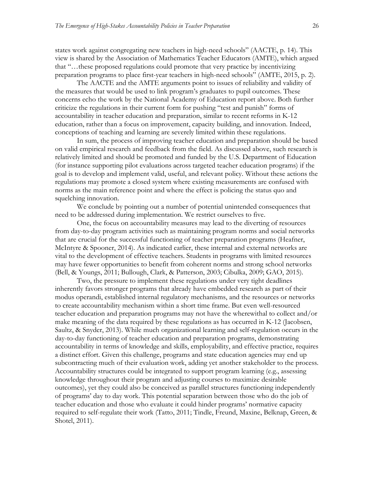states work against congregating new teachers in high-need schools" (AACTE, p. 14). This view is shared by the Association of Mathematics Teacher Educators (AMTE), which argued that "…these proposed regulations could promote that very practice by incentivizing preparation programs to place first-year teachers in high-need schools" (AMTE, 2015, p. 2).

The AACTE and the AMTE arguments point to issues of reliability and validity of the measures that would be used to link program's graduates to pupil outcomes. These concerns echo the work by the National Academy of Education report above. Both further criticize the regulations in their current form for pushing "test and punish" forms of accountability in teacher education and preparation, similar to recent reforms in K-12 education, rather than a focus on improvement, capacity building, and innovation. Indeed, conceptions of teaching and learning are severely limited within these regulations.

In sum, the process of improving teacher education and preparation should be based on valid empirical research and feedback from the field. As discussed above, such research is relatively limited and should be promoted and funded by the U.S. Department of Education (for instance supporting pilot evaluations across targeted teacher education programs) if the goal is to develop and implement valid, useful, and relevant policy. Without these actions the regulations may promote a closed system where existing measurements are confused with norms as the main reference point and where the effect is policing the status quo and squelching innovation.

We conclude by pointing out a number of potential unintended consequences that need to be addressed during implementation. We restrict ourselves to five.

One, the focus on accountability measures may lead to the diverting of resources from day-to-day program activities such as maintaining program norms and social networks that are crucial for the successful functioning of teacher preparation programs (Heafner, McIntyre & Spooner, 2014). As indicated earlier, these internal and external networks are vital to the development of effective teachers. Students in programs with limited resources may have fewer opportunities to benefit from coherent norms and strong school networks (Bell, & Youngs, 2011; Bullough, Clark, & Patterson, 2003; Cibulka, 2009; GAO, 2015).

Two, the pressure to implement these regulations under very tight deadlines inherently favors stronger programs that already have embedded research as part of their modus operandi, established internal regulatory mechanisms, and the resources or networks to create accountability mechanism within a short time frame. But even well-resourced teacher education and preparation programs may not have the wherewithal to collect and/or make meaning of the data required by these regulations as has occurred in K-12 (Jacobsen, Saultz, & Snyder, 2013). While much organizational learning and self-regulation occurs in the day-to-day functioning of teacher education and preparation programs, demonstrating accountability in terms of knowledge and skills, employability, and effective practice, requires a distinct effort. Given this challenge, programs and state education agencies may end up subcontracting much of their evaluation work, adding yet another stakeholder to the process. Accountability structures could be integrated to support program learning (e.g., assessing knowledge throughout their program and adjusting courses to maximize desirable outcomes), yet they could also be conceived as parallel structures functioning independently of programs' day to day work. This potential separation between those who do the job of teacher education and those who evaluate it could hinder programs' normative capacity required to self-regulate their work (Tatto, 2011; Tindle, Freund, Maxine, Belknap, Green, & Shotel, 2011).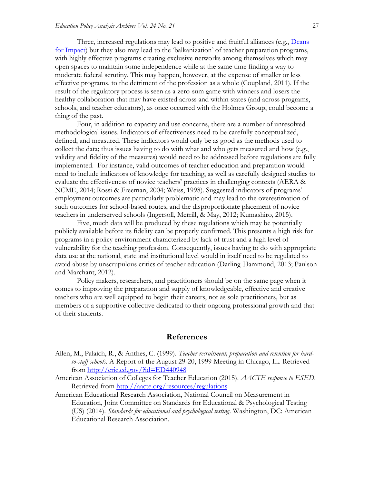Three, increased regulations may lead to positive and fruitful alliances (e.g., Deans [for Impact](http://www.deansforimpact.org/)) but they also may lead to the 'balkanization' of teacher preparation programs, with highly effective programs creating exclusive networks among themselves which may open spaces to maintain some independence while at the same time finding a way to moderate federal scrutiny. This may happen, however, at the expense of smaller or less effective programs, to the detriment of the profession as a whole (Coupland, 2011). If the result of the regulatory process is seen as a zero-sum game with winners and losers the healthy collaboration that may have existed across and within states (and across programs, schools, and teacher educators), as once occurred with the Holmes Group, could become a thing of the past.

Four, in addition to capacity and use concerns, there are a number of unresolved methodological issues. Indicators of effectiveness need to be carefully conceptualized, defined, and measured. These indicators would only be as good as the methods used to collect the data; thus issues having to do with what and who gets measured and how (e.g., validity and fidelity of the measures) would need to be addressed before regulations are fully implemented. For instance, valid outcomes of teacher education and preparation would need to include indicators of knowledge for teaching, as well as carefully designed studies to evaluate the effectiveness of novice teachers' practices in challenging contexts (AERA & NCME, 2014; Rossi & Freeman, 2004; Weiss, 1998). Suggested indicators of programs' employment outcomes are particularly problematic and may lead to the overestimation of such outcomes for school-based routes, and the disproportionate placement of novice teachers in underserved schools (Ingersoll, Merrill, & May, 2012; Kumashiro, 2015).

Five, much data will be produced by these regulations which may be potentially publicly available before its fidelity can be properly confirmed. This presents a high risk for programs in a policy environment characterized by lack of trust and a high level of vulnerability for the teaching profession. Consequently, issues having to do with appropriate data use at the national, state and institutional level would in itself need to be regulated to avoid abuse by unscrupulous critics of teacher education (Darling-Hammond, 2013; Paulson and Marchant, 2012).

Policy makers, researchers, and practitioners should be on the same page when it comes to improving the preparation and supply of knowledgeable, effective and creative teachers who are well equipped to begin their careers, not as sole practitioners, but as members of a supportive collective dedicated to their ongoing professional growth and that of their students.

## **References**

- Allen, M., Palaich, R., & Anthes, C. (1999). *Teacher recruitment, preparation and retention for hardto-staff schools*. A Report of the August 29-20, 1999 Meeting in Chicago, IL. Retrieved from <http://eric.ed.gov/?id=ED440948>
- American Association of Colleges for Teacher Education (2015). *AACTE response to ESED*. Retrieved from <http://aacte.org/resources/regulations>
- American Educational Research Association, National Council on Measurement in Education, Joint Committee on Standards for Educational & Psychological Testing (US) (2014). *Standards for educational and psychological testing*. Washington, DC: American Educational Research Association.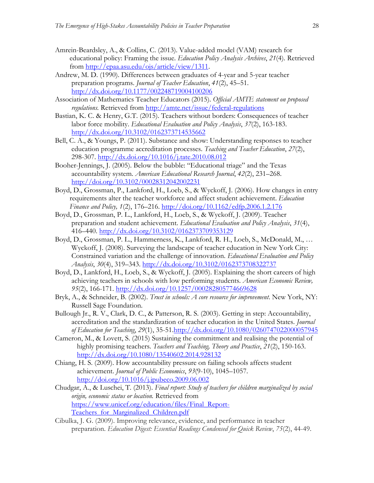- Amrein-Beardsley, A., & Collins, C. (2013). Value-added model (VAM) research for educational policy: Framing the issue. *Education Policy Analysis Archives*, *21*(4). Retrieved from [http://epaa.asu.edu/ojs/article/view/1311.](http://epaa.asu.edu/ojs/article/view/1311)
- Andrew, M. D. (1990). Differences between graduates of 4-year and 5-year teacher preparation programs. *Journal of Teacher Education*, *41*(2), 45–51. <http://dx.doi.org/10.1177/002248719004100206>
- Association of Mathematics Teacher Educators (2015). *Official AMTE statement on proposed regulations.* Retrieved from<http://amte.net/issue/federal-regulations>
- Bastian, K. C. & Henry, G.T. (2015). Teachers without borders: Consequences of teacher labor force mobility. *Educational Evaluation and Policy Analysis*, *37*(2), 163-183. <http://dx.doi.org/10.3102/0162373714535662>
- Bell, C. A., & Youngs, P. (2011). Substance and show: Understanding responses to teacher education programme accreditation processes. *Teaching and Teacher Education*, *27*(2), 298-307.<http://dx.doi.org/10.1016/j.tate.2010.08.012>
- Booher-Jennings, J. (2005). Below the bubble: "Educational triage" and the Texas accountability system. *American Educational Research Journal*, *42*(2), 231–268. <http://doi.org/10.3102/00028312042002231>
- Boyd, D., Grossman, P., Lankford, H., Loeb, S., & Wyckoff, J. (2006). How changes in entry requirements alter the teacher workforce and affect student achievement. *Education Finance and Policy, 1*(2), 176–216.<http://doi.org/10.1162/edfp.2006.1.2.176>
- Boyd, D., Grossman, P. L., Lankford, H., Loeb, S., & Wyckoff, J. (2009). Teacher preparation and student achievement. *Educational Evaluation and Policy Analysis*, *31*(4), 416–440.<http://dx.doi.org/10.3102/0162373709353129>
- Boyd, D., Grossman, P. L., Hammerness, K., Lankford, R. H., Loeb, S., McDonald, M., … Wyckoff, J. (2008). Surveying the landscape of teacher education in New York City: Constrained variation and the challenge of innovation. *Educational Evaluation and Policy Analysis*, *30*(4), 319–343.<http://dx.doi.org/10.3102/0162373708322737>
- Boyd, D., Lankford, H., Loeb, S., & Wyckoff, J. (2005). Explaining the short careers of high achieving teachers in schools with low performing students. *American Economic Review, 95*(2), 166-171.<http://dx.doi.org/10.1257/000282805774669628>
- Bryk, A., & Schneider, B. (2002). *Trust in schools: A core resource for improvement*. New York, NY: Russell Sage Foundation.
- Bullough Jr., R. V., Clark, D. C., & Patterson, R. S. (2003). Getting in step: Accountability, accreditation and the standardization of teacher education in the United States. *Journal of Education for Teaching*, *29*(1), 35-51[.http://dx.doi.org/10.1080/0260747022000057945](http://dx.doi.org/10.1080/0260747022000057945)
- Cameron, M., & Lovett, S. (2015) Sustaining the commitment and realising the potential of highly promising teachers. *Teachers and Teaching, Theory and Practice*, *21*(2), 150-163. <http://dx.doi.org/10.1080/13540602.2014.928132>
- Chiang, H. S. (2009). How accountability pressure on failing schools affects student achievement. *Journal of Public Economics*, *93*(9-10), 1045–1057. <http://doi.org/10.1016/j.jpubeco.2009.06.002>
- Chudgar, A., & Luschei, T. (2013). *Final report: Study of teachers for children marginalized by social origin, economic status or location.* Retrieved from [https://www.unicef.org/education/files/Final\\_Report-](https://www.unicef.org/education/files/Final_Report-Teachers_for_Marginalized_Children.pdf)Teachers for Marginalized Children.pdf
- Cibulka, J. G. (2009). Improving relevance, evidence, and performance in teacher preparation. *Education Digest: Essential Readings Condensed for Quick Review*, *75*(2), 44-49.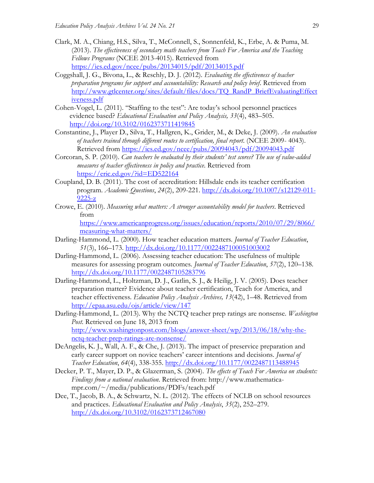- Clark, M. A., Chiang, H.S., Silva, T., McConnell, S., Sonnenfeld, K., Erbe, A. & Puma, M. (2013). *The effectiveness of secondary math teachers from Teach For America and the Teaching Fellows Programs* (NCEE 2013-4015). Retrieved from <https://ies.ed.gov/ncee/pubs/20134015/pdf/20134015.pdf>
- Coggshall, J. G., Bivona, L., & Reschly, D. J. (2012). *Evaluating the effectiveness of teacher preparation programs for support and accountability: Research and policy brief*. Retrieved from http://www.gtlcenter.org/sites/default/files/docs/TO\_RandP\_BriefEvaluatingEffect [iveness.pdf](http://www.gtlcenter.org/sites/default/files/docs/TQ_RandP_BriefEvaluatingEffectiveness.pdf)
- Cohen-Vogel, L. (2011). "Staffing to the test": Are today's school personnel practices evidence based? *Educational Evaluation and Policy Analysis, 33*(4), 483–505. <http://doi.org/10.3102/0162373711419845>
- Constantine, J., Player D., Silva, T., Hallgren, K., Grider, M., & Deke, J. (2009). *An evaluation of teachers trained through different routes to certification, final report*. (NCEE 2009- 4043). Retrieved from<https://ies.ed.gov/ncee/pubs/20094043/pdf/20094043.pdf>
- Corcoran, S. P. (2010). *Can teachers be evaluated by their students' test scores? The use of value-added measures of teacher effectiveness in policy and practice*. Retrieved from <https://eric.ed.gov/?id=ED522164>
- Coupland, D. B. (2011). The cost of accreditation: Hillsdale ends its teacher certification program. *Academic Questions*, *24*(2), 209-221. [http://dx.doi.org/10.1007/s12129-011-](http://dx.doi.org/10.1007/s12129-011-9225-z) [9225-z](http://dx.doi.org/10.1007/s12129-011-9225-z)
- Crowe, E. (2010). *Measuring what matters: A stronger accountability model for teachers*. Retrieved from

[https://www.americanprogress.org/issues/education/reports/2010/07/29/8066/](https://www.americanprogress.org/issues/education/reports/2010/07/29/8066/measuring-what-matters/) [measuring-what-matters/](https://www.americanprogress.org/issues/education/reports/2010/07/29/8066/measuring-what-matters/)

- Darling-Hammond, L. (2000). How teacher education matters. *Journal of Teacher Education*, *51*(3), 166–173.<http://dx.doi.org/10.1177/0022487100051003002>
- Darling-Hammond, L. (2006). Assessing teacher education: The usefulness of multiple measures for assessing program outcomes. *Journal of Teacher Education*, *57*(2), 120–138. <http://dx.doi.org/10.1177/0022487105283796>
- Darling-Hammond, L., Holtzman, D. J., Gatlin, S. J., & Heilig, J. V. (2005). Does teacher preparation matter? Evidence about teacher certification, Teach for America, and teacher effectiveness. *Education Policy Analysis Archives, 13*(42), 1–48. Retrieved from <http://epaa.asu.edu/ojs/article/view/147>
- Darling-Hammond, L. (2013). Why the NCTQ teacher prep ratings are nonsense. *Washington Post*. Retrieved on June 18, 2013 from [http://www.washingtonpost.com/blogs/answer-sheet/wp/2013/06/18/why-the](http://www.washingtonpost.com/blogs/answer-sheet/wp/2013/06/18/why-the-nctq-teacher-prep-ratings-are-nonsense/)[nctq-teacher-prep-ratings-are-nonsense/](http://www.washingtonpost.com/blogs/answer-sheet/wp/2013/06/18/why-the-nctq-teacher-prep-ratings-are-nonsense/)
- DeAngelis, K. J., Wall, A. F., & Che, J. (2013). The impact of preservice preparation and early career support on novice teachers' career intentions and decisions. *Journal of Teacher Education*, *64*(4), 338-355.<http://dx.doi.org/10.1177/0022487113488945>
- Decker, P. T., Mayer, D. P., & Glazerman, S. (2004). *The effects of Teach For America on students: Findings from a national evaluation*. Retrieved from: [http://www.mathematica](http://www.mathematica-mpr.com/~/media/publications/PDFs/teach.pdf)[mpr.com/~/media/publications/PDFs/teach.pdf](http://www.mathematica-mpr.com/~/media/publications/PDFs/teach.pdf)
- Dee, T., Jacob, B. A., & Schwartz, N. L. (2012). The effects of NCLB on school resources and practices. *Educational Evaluation and Policy Analysis*, *35*(2), 252–279. <http://dx.doi.org/10.3102/0162373712467080>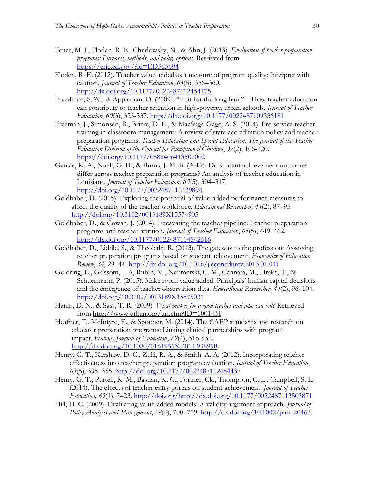- Feuer, M. J., Floden, R. E., Chudowsky, N., & Ahn, J. (2013)*. Evaluation of teacher preparation programs: Purposes, methods, and policy options*. Retrieved from <https://eric.ed.gov/?id=ED565694>
- Floden, R. E. (2012). Teacher value added as a measure of program quality: Interpret with caution. *Journal of Teacher Education*, *63*(5), 356–360. <http://dx.doi.org/10.1177/0022487112454175>
- Freedman, S. W., & Appleman, D. (2009). "In it for the long haul"—How teacher education can contribute to teacher retention in high-poverty, urban schools. *Journal of Teacher Education*, *60*(3), 323-337.<http://dx.doi.org/10.1177/0022487109336181>
- Freeman, J., Simonsen, B., Briere, D. E., & MacSuga-Gage, A. S. (2014). Pre-service teacher training in classroom management: A review of state accreditation policy and teacher preparation programs. *Teacher Education and Special Education: The Journal of the Teacher Education Division of the Council for Exceptional Children*, *37*(2), 106-120. <https://doi.org/10.1177/0888406413507002>
- Gansle, K. A., Noell, G. H., & Burns, J. M. B. (2012). Do student achievement outcomes differ across teacher preparation programs? An analysis of teacher education in Louisiana. *Journal of Teacher Education*, *63*(5), 304–317. <http://doi.org/10.1177/0022487112439894>
- Goldhaber, D. (2015). Exploring the potential of value-added performance measures to affect the quality of the teacher workforce. *Educational Researcher, 44*(2), 87–95. <http://doi.org/10.3102/0013189X15574905>
- Goldhaber, D., & Cowan, J. (2014). Excavating the teacher pipeline: Teacher preparation programs and teacher attrition. *Journal of Teacher Education*, *65*(5), 449–462. <http://dx.doi.org/10.1177/0022487114542516>
- Goldhaber, D., Liddle, S., & Theobald, R. (2013). The gateway to the profession: Assessing teacher preparation programs based on student achievement. *Economics of Education Review*, *34*, 29–44.<http://dx.doi.org/10.1016/j.econedurev.2013.01.011>
- Goldring, E., Grissom, J. A, Rubin, M., Neumerski, C. M., Cannata, M., Drake, T., & Schuermann, P. (2015). Make room value added: Principals' human capital decisions and the emergence of teacher observation data. *Educational Researcher*, *44*(2), 96–104. <http://doi.org/10.3102/0013189X15575031>
- Harris, D. N., & Sass, T. R. (2009). *What makes for a good teacher and who can tell?* Retrieved from<http://www.urban.org/url.cfm?ID=1001431>
- Heafner, T., McIntyre, E., & Spooner, M. (2014). The CAEP standards and research on educator preparation programs: Linking clinical partnerships with program impact. *Peabody Journal of Education*, *89*(4), 516-532. <http://dx.doi.org/10.1080/0161956X.2014.938998>
- Henry, G. T., Kershaw, D. C., Zulli, R. A., & Smith, A. A. (2012). Incorporating teacher effectiveness into teacher preparation program evaluation. *Journal of Teacher Education*, *63*(5), 335–355.<http://doi.org/10.1177/0022487112454437>
- Henry, G. T., Purtell, K. M., Bastian, K. C., Fortner, Ck., Thompson, C. L., Campbell, S. L. (2014). The effects of teacher entry portals on student achievement. *Journal of Teacher Education, 65*(1), 7–23. [http://doi.org/http://dx.doi.org/10.1177/0022487113503871](http://doi.org/http:/dx.doi.org/10.1177/0022487113503871)
- Hill, H. C. (2009). Evaluating value-added models: A validity argument approach. *Journal of Policy Analysis and Management*, *28*(4), 700–709.<http://dx.doi.org/10.1002/pam.20463>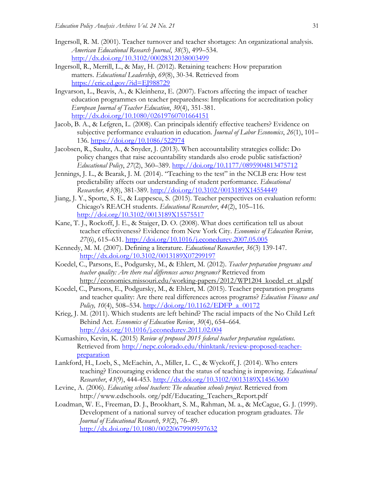- Ingersoll, R. M. (2001). Teacher turnover and teacher shortages: An organizational analysis. *American Educational Research Journal*, *38*(3), 499–534. <http://dx.doi.org/10.3102/00028312038003499>
- Ingersoll, R., Merrill, L., & May, H. (2012). Retaining teachers: How preparation matters. *Educational Leadership*, *69*(8), 30-34. Retrieved from <https://eric.ed.gov/?id=EJ988729>
- Ingvarson, L., Beavis, A., & Kleinhenz, E. (2007). Factors affecting the impact of teacher education programmes on teacher preparedness: Implications for accreditation policy *European Journal of Teacher Education*, *30*(4), 351-381. <http://dx.doi.org/10.1080/02619760701664151>
- Jacob, B. A., & Lefgren, L. (2008). Can principals identify effective teachers? Evidence on subjective performance evaluation in education. *Journal of Labor Economics*, *26*(1), 101– 136.<https://doi.org/10.1086/522974>
- Jacobsen, R., Saultz, A., & Snyder, J. (2013). When accountability strategies collide: Do policy changes that raise accountability standards also erode public satisfaction? *Educational Policy*, *27*(2), 360–389.<http://doi.org/10.1177/0895904813475712>
- Jennings, J. L., & Bearak, J. M. (2014). "Teaching to the test" in the NCLB era: How test predictability affects our understanding of student performance. *Educational Researcher, 43*(8), 381-389.<http://doi.org/10.3102/0013189X14554449>
- Jiang, J. Y., Sporte, S. E., & Luppescu, S. (2015). Teacher perspectives on evaluation reform: Chicago's REACH students. *Educational Researcher*, *44*(2), 105–116. <http://doi.org/10.3102/0013189X15575517>
- Kane, T. J., Rockoff, J. E., & Staiger, D. O. (2008). What does certification tell us about teacher effectiveness? Evidence from New York City. *Economics of Education Review, 27*(6), 615–631.<http://doi.org/10.1016/j.econedurev.2007.05.005>
- Kennedy, M. M. (2007). Defining a literature. *Educational Researcher*, *36*(3) 139-147. <http://dx.doi.org/10.3102/0013189X07299197>
- Koedel, C., Parsons, E., Podgursky, M., & Ehlert, M. (2012). *Teacher preparation programs and teacher quality: Are there real differences across programs?* Retrieved from [http://economics.missouri.edu/working-papers/2012/WP1204\\_koedel\\_et\\_al.pdf](http://economics.missouri.edu/working-papers/2012/WP1204_koedel_et_al.pdf)
- Koedel, C., Parsons, E., Podgursky, M., & Ehlert, M. (2015). Teacher preparation programs and teacher quality: Are there real differences across programs? *Education Finance and*  Policy, 10(4), 508–534. [http://doi.org/10.1162/EDFP\\_a\\_00172](http://doi.org/10.1162/EDFP_a_00172)
- Krieg, J. M. (2011). Which students are left behind? The racial impacts of the No Child Left Behind Act. *Economics of Education Review*, *30*(4), 654–664. <http://doi.org/10.1016/j.econedurev.2011.02.004>
- Kumashiro, Kevin, K. (2015) *Review of proposed 2015 federal teacher preparation regulations.* Retrieved from [http://nepc.colorado.edu/thinktank/review-proposed-teacher](http://nepc.colorado.edu/thinktank/review-proposed-teacher-preparation)[preparation](http://nepc.colorado.edu/thinktank/review-proposed-teacher-preparation)
- Lankford, H., Loeb, S., McEachin, A., Miller, L. C., & Wyckoff, J. (2014). Who enters teaching? Encouraging evidence that the status of teaching is improving. *Educational Researcher*, *43*(9), 444-453.<http://dx.doi.org/10.3102/0013189X14563600>
- Levine, A. (2006). *Educating school teachers: The education schools project*. Retrieved from http://www.edschools. org/pdf/Educating\_Teachers\_Report.pdf
- Loadman, W. E., Freeman, D. J., Brookhart, S. M., Rahman, M. a., & McCague, G. J. (1999). Development of a national survey of teacher education program graduates. *The Journal of Educational Research*, *93*(2), 76–89. <http://dx.doi.org/10.1080/00220679909597632>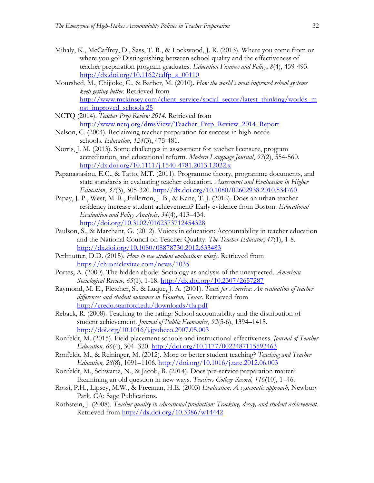- Mihaly, K., McCaffrey, D., Sass, T. R., & Lockwood, J. R. (2013). Where you come from or where you go? Distinguishing between school quality and the effectiveness of teacher preparation program graduates. *Education Finance and Policy*, *8*(4), 459-493. [http://dx.doi.org/10.1162/edfp\\_a\\_00110](http://dx.doi.org/10.1162/edfp_a_00110)
- Mourshed, M., Chijioke, C., & Barber, M. (2010). *How the world's most improved school systems keep getting better*. Retrieved from [http://www.mckinsey.com/client\\_service/social\\_sector/latest\\_thinking/worlds\\_m](http://www.mckinsey.com/client_service/social_sector/latest_thinking/worlds_most_improved_schools%2025) [ost\\_improved\\_schools 25](http://www.mckinsey.com/client_service/social_sector/latest_thinking/worlds_most_improved_schools%2025)
- NCTQ (2014). *Teacher Prep Review 2014*. Retrieved from [http://www.nctq.org/dmsView/Teacher\\_Prep\\_Review\\_2014\\_Report](http://www.nctq.org/dmsView/Teacher_Prep_Review_2014_Report)
- Nelson, C. (2004). Reclaiming teacher preparation for success in high-needs schools. *Education*, *124*(3), 475-481.
- Norris, J. M. (2013). Some challenges in assessment for teacher licensure, program accreditation, and educational reform. *Modern Language Journal*, *97*(2), 554-560. <http://dx.doi.org/10.1111/j.1540-4781.2013.12022.x>
- Papanastasiou, E.C., & Tatto, M.T. (2011). Programme theory, programme documents, and state standards in evaluating teacher education. *Assessment and Evaluation in Higher Education*, *37*(3), 305-320. <http://dx.doi.org/10.1080/02602938.2010.534760>
- Papay, J. P., West, M. R., Fullerton, J. B., & Kane, T. J. (2012). Does an urban teacher residency increase student achievement? Early evidence from Boston. *Educational Evaluation and Policy Analysis, 34*(4), 413–434. <http://doi.org/10.3102/0162373712454328>
- Paulson, S., & Marchant, G. (2012). Voices in education: Accountability in teacher education and the National Council on Teacher Quality. *The Teacher Educator*, *47*(1), 1-8. <http://dx.doi.org/10.1080/08878730.2012.633483>
- Perlmutter, D.D. (2015). *How to use student evaluations wisely*. Retrieved from <https://chroniclevitae.com/news/1035>
- Portes, A. (2000). The hidden abode: Sociology as analysis of the unexpected. *American Sociological Review*, *65*(1), 1-18.<http://dx.doi.org/10.2307/2657287>
- Raymond, M. E., Fletcher, S., & Luque, J. A. (2001). *Teach for America: An evaluation of teacher differences and student outcomes in Houston, Texas*. Retrieved from <http://credo.stanford.edu/downloads/tfa.pdf>
- Reback, R. (2008). Teaching to the rating: School accountability and the distribution of student achievement. *Journal of Public Economics*, *92*(5-6), 1394–1415. <http://doi.org/10.1016/j.jpubeco.2007.05.003>
- Ronfeldt, M. (2015). Field placement schools and instructional effectiveness. *Journal of Teacher Education, 66*(4), 304–320.<http://doi.org/10.1177/0022487115592463>
- Ronfeldt, M., & Reininger, M. (2012). More or better student teaching? *Teaching and Teacher Education, 28*(8), 1091–1106.<http://doi.org/10.1016/j.tate.2012.06.003>
- Ronfeldt, M., Schwartz, N., & Jacob, B. (2014). Does pre-service preparation matter? Examining an old question in new ways. *Teachers College Record, 116*(10), 1–46.
- Rossi, P.H., Lipsey, M.W., & Freeman, H.E. (2003) *Evaluation: A systematic approach*, Newbury Park, CA: Sage Publications.
- Rothstein, J. (2008). *Teacher quality in educational production: Tracking, decay, and student achievement*. Retrieved from <http://dx.doi.org/10.3386/w14442>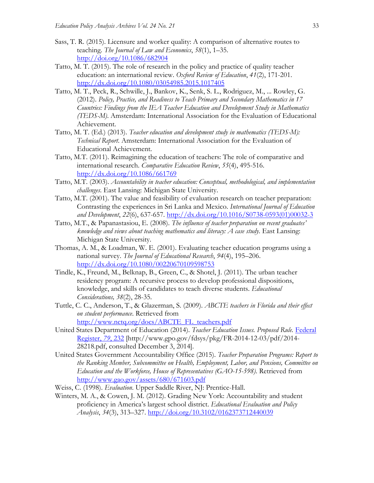- Sass, T. R. (2015). Licensure and worker quality: A comparison of alternative routes to teaching. *The Journal of Law and Economics*, *58*(1), 1–35. <http://doi.org/10.1086/682904>
- Tatto, M. T. (2015). The role of research in the policy and practice of quality teacher education: an international review. *Oxford Review of Education*, *41*(2), 171-201. <http://dx.doi.org/10.1080/03054985.2015.1017405>
- Tatto, M. T., Peck, R., Schwille, J., Bankov, K., Senk, S. L., Rodriguez, M., ... Rowley, G. (2012). *Policy, Practice, and Readiness to Teach Primary and Secondary Mathematics in 17 Countries: Findings from the IEA Teacher Education and Development Study in Mathematics (TEDS-M)*. Amsterdam: International Association for the Evaluation of Educational Achievement.
- Tatto, M. T. (Ed.) (2013). *Teacher education and development study in mathematics (TEDS-M): Technical Report*. Amsterdam: International Association for the Evaluation of Educational Achievement.
- Tatto, M.T. (2011). Reimagining the education of teachers: The role of comparative and international research. *Comparative Education Review*, *55*(4), 495-516. <http://dx.doi.org/10.1086/661769>
- Tatto, M.T. (2003). *Accountability in teacher education: Conceptual, methodological, and implementation challenges*. East Lansing: Michigan State University.
- Tatto, M.T. (2001). The value and feasibility of evaluation research on teacher preparation: Contrasting the experiences in Sri Lanka and Mexico. *International Journal of Education and Development*, *22*(6), 637-657. [http://dx.doi.org/10.1016/S0738-0593\(01\)00032-3](http://dx.doi.org/10.1016/S0738-0593(01)00032-3)
- Tatto, M.T., & Papanastasiou, E. (2008). *The influence of teacher preparation on recent graduates' knowledge and views about teaching mathematics and literacy: A case study*. East Lansing: Michigan State University.
- Thomas, A. M., & Loadman, W. E. (2001). Evaluating teacher education programs using a national survey. *The Journal of Educational Research*, *94*(4), 195–206. <http://dx.doi.org/10.1080/00220670109598753>
- Tindle, K., Freund, M., Belknap, B., Green, C., & Shotel, J. (2011). The urban teacher residency program: A recursive process to develop professional dispositions, knowledge, and skills of candidates to teach diverse students. *Educational Considerations, 38*(2), 28-35.
- Tuttle, C. C., Anderson, T., & Glazerman, S. (2009). *ABCTE teachers in Florida and their effect on student performance*. Retrieved from [http://www.nctq.org/docs/ABCTE\\_FL\\_teachers.pdf](http://www.nctq.org/docs/ABCTE_FL_teachers.pdf)
- United States Department of Education (2014). *Teacher Education Issues. Proposed Rule.* [Federal](http://www.gpo.gov/fdsys/pkg/FR-2014-12-03/pdf/2014-28218.pdf)  [Register,](http://www.gpo.gov/fdsys/pkg/FR-2014-12-03/pdf/2014-28218.pdf) *79*, 232 [http://www.gpo.gov/fdsys/pkg/FR-2014-12-03/pdf/2014- 28218.pdf, consulted December 3, 2014].
- United States Government Accountability Office (2015). *Teacher Preparation Programs: Report to the Ranking Member, Subcommittee on Health, Employment, Labor, and Pensions, Committee on Education and the Workforce, House of Representatives (GAO-15-598)*. Retrieved from <http://www.gao.gov/assets/680/671603.pdf>
- Weiss, C. (1998). *Evaluation*. Upper Saddle River, NJ: Prentice-Hall.
- Winters, M. A., & Cowen, J. M. (2012). Grading New York: Accountability and student proficiency in America's largest school district. *Educational Evaluation and Policy Analysis*, *34*(3), 313–327.<http://doi.org/10.3102/0162373712440039>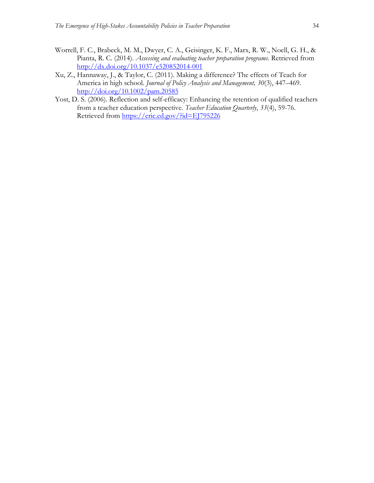- Worrell, F. C., Brabeck, M. M., Dwyer, C. A., Geisinger, K. F., Marx, R. W., Noell, G. H., & Pianta, R. C. (2014). *Assessing and evaluating teacher preparation programs*. Retrieved from <http://dx.doi.org/10.1037/e520852014-001>
- Xu, Z., Hannaway, J., & Taylor, C. (2011). Making a difference? The effects of Teach for America in high school. *Journal of Policy Analysis and Management, 30*(3), 447–469. <http://doi.org/10.1002/pam.20585>
- Yost, D. S. (2006). Reflection and self-efficacy: Enhancing the retention of qualified teachers from a teacher education perspective. *Teacher Education Quarterly*, *33*(4), 59-76. Retrieved from<https://eric.ed.gov/?id=EJ795226>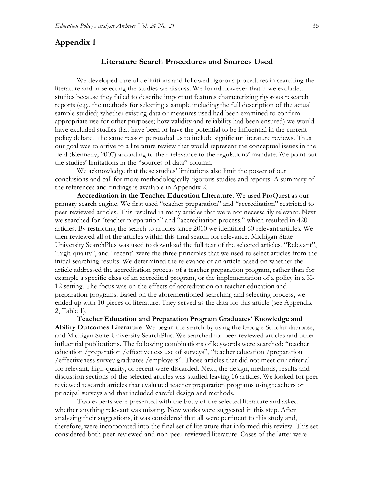# **Appendix 1**

# **Literature Search Procedures and Sources Used**

We developed careful definitions and followed rigorous procedures in searching the literature and in selecting the studies we discuss. We found however that if we excluded studies because they failed to describe important features characterizing rigorous research reports (e.g., the methods for selecting a sample including the full description of the actual sample studied; whether existing data or measures used had been examined to confirm appropriate use for other purposes; how validity and reliability had been ensured) we would have excluded studies that have been or have the potential to be influential in the current policy debate. The same reason persuaded us to include significant literature reviews. Thus our goal was to arrive to a literature review that would represent the conceptual issues in the field (Kennedy, 2007) according to their relevance to the regulations' mandate. We point out the studies' limitations in the "sources of data" column.

We acknowledge that these studies' limitations also limit the power of our conclusions and call for more methodologically rigorous studies and reports. A summary of the references and findings is available in Appendix 2.

**Accreditation in the Teacher Education Literature.** We used ProQuest as our primary search engine. We first used "teacher preparation" and "accreditation" restricted to peer-reviewed articles. This resulted in many articles that were not necessarily relevant. Next we searched for "teacher preparation" and "accreditation process," which resulted in 420 articles. By restricting the search to articles since 2010 we identified 60 relevant articles. We then reviewed all of the articles within this final search for relevance. Michigan State University SearchPlus was used to download the full text of the selected articles. "Relevant", "high-quality", and "recent" were the three principles that we used to select articles from the initial searching results. We determined the relevance of an article based on whether the article addressed the accreditation process of a teacher preparation program, rather than for example a specific class of an accredited program, or the implementation of a policy in a K-12 setting. The focus was on the effects of accreditation on teacher education and preparation programs. Based on the aforementioned searching and selecting process, we ended up with 10 pieces of literature. They served as the data for this article (see Appendix 2, Table 1).

**Teacher Education and Preparation Program Graduates' Knowledge and Ability Outcomes Literature.** We began the search by using the Google Scholar database, and Michigan State University SearchPlus. We searched for peer reviewed articles and other influential publications. The following combinations of keywords were searched: "teacher education /preparation /effectiveness use of surveys", "teacher education /preparation /effectiveness survey graduates /employers". Those articles that did not meet our criterial for relevant, high-quality, or recent were discarded. Next, the design, methods, results and discussion sections of the selected articles was studied leaving 16 articles. We looked for peer reviewed research articles that evaluated teacher preparation programs using teachers or principal surveys and that included careful design and methods.

Two experts were presented with the body of the selected literature and asked whether anything relevant was missing. New works were suggested in this step. After analyzing their suggestions, it was considered that all were pertinent to this study and, therefore, were incorporated into the final set of literature that informed this review. This set considered both peer-reviewed and non-peer-reviewed literature. Cases of the latter were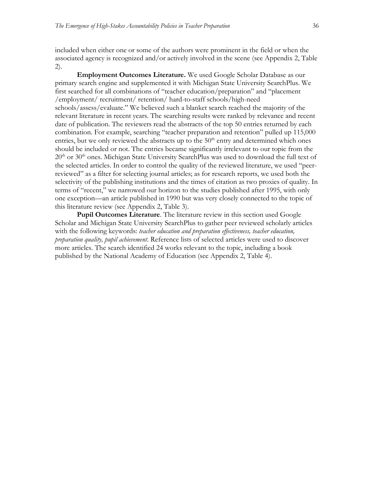included when either one or some of the authors were prominent in the field or when the associated agency is recognized and/or actively involved in the scene (see Appendix 2, Table 2).

**Employment Outcomes Literature.** We used Google Scholar Database as our primary search engine and supplemented it with Michigan State University SearchPlus. We first searched for all combinations of "teacher education/preparation" and "placement /employment/ recruitment/ retention/ hard-to-staff schools/high-need schools/assess/evaluate." We believed such a blanket search reached the majority of the relevant literature in recent years. The searching results were ranked by relevance and recent date of publication. The reviewers read the abstracts of the top 50 entries returned by each combination. For example, searching "teacher preparation and retention" pulled up 115,000 entries, but we only reviewed the abstracts up to the  $50<sup>th</sup>$  entry and determined which ones should be included or not. The entries became significantly irrelevant to our topic from the  $20<sup>th</sup>$  or 30<sup>th</sup> ones. Michigan State University SearchPlus was used to download the full text of the selected articles. In order to control the quality of the reviewed literature, we used "peerreviewed" as a filter for selecting journal articles; as for research reports, we used both the selectivity of the publishing institutions and the times of citation as two proxies of quality. In terms of "recent," we narrowed our horizon to the studies published after 1995, with only one exception—an article published in 1990 but was very closely connected to the topic of this literature review (see Appendix 2, Table 3).

**Pupil Outcomes Literature**. The literature review in this section used Google Scholar and Michigan State University SearchPlus to gather peer reviewed scholarly articles with the following keywords: *teacher education and preparation effectiveness, teacher education, preparation quality, pupil achievement*. Reference lists of selected articles were used to discover more articles. The search identified 24 works relevant to the topic, including a book published by the National Academy of Education (see Appendix 2, Table 4).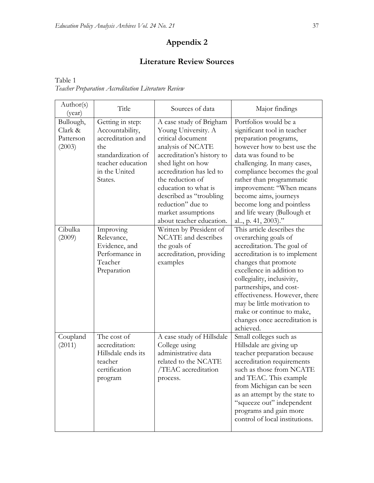# **Appendix 2**

# **Literature Review Sources**

| Table 1                                             |  |
|-----------------------------------------------------|--|
| Teacher Preparation Accreditation Literature Review |  |

| Author(s)<br>(year)                         | Title                                                                                                                                  | Sources of data                                                                                                                                                                                                                                                                                                       | Major findings                                                                                                                                                                                                                                                                                                                                                             |
|---------------------------------------------|----------------------------------------------------------------------------------------------------------------------------------------|-----------------------------------------------------------------------------------------------------------------------------------------------------------------------------------------------------------------------------------------------------------------------------------------------------------------------|----------------------------------------------------------------------------------------------------------------------------------------------------------------------------------------------------------------------------------------------------------------------------------------------------------------------------------------------------------------------------|
| Bullough,<br>Clark &<br>Patterson<br>(2003) | Getting in step:<br>Accountability,<br>accreditation and<br>the<br>standardization of<br>teacher education<br>in the United<br>States. | A case study of Brigham<br>Young University. A<br>critical document<br>analysis of NCATE<br>accreditation's history to<br>shed light on how<br>accreditation has led to<br>the reduction of<br>education to what is<br>described as "troubling<br>reduction" due to<br>market assumptions<br>about teacher education. | Portfolios would be a<br>significant tool in teacher<br>preparation programs,<br>however how to best use the<br>data was found to be<br>challenging. In many cases,<br>compliance becomes the goal<br>rather than programmatic<br>improvement: "When means<br>become aims, journeys<br>become long and pointless<br>and life weary (Bullough et<br>al, p. 41, 2003)."      |
| Cibulka<br>(2009)                           | Improving<br>Relevance,<br>Evidence, and<br>Performance in<br>Teacher<br>Preparation                                                   | Written by President of<br>NCATE and describes<br>the goals of<br>accreditation, providing<br>examples                                                                                                                                                                                                                | This article describes the<br>overarching goals of<br>accreditation. The goal of<br>accreditation is to implement<br>changes that promote<br>excellence in addition to<br>collegiality, inclusivity,<br>partnerships, and cost-<br>effectiveness. However, there<br>may be little motivation to<br>make or continue to make,<br>changes once accreditation is<br>achieved. |
| Coupland<br>(2011)                          | The cost of<br>accreditation:<br>Hillsdale ends its<br>teacher<br>certification<br>program                                             | A case study of Hillsdale<br>College using<br>administrative data<br>related to the NCATE<br>/TEAC accreditation<br>process.                                                                                                                                                                                          | Small colleges such as<br>Hillsdale are giving up<br>teacher preparation because<br>accreditation requirements<br>such as those from NCATE<br>and TEAC. This example<br>from Michigan can be seen<br>as an attempt by the state to<br>"squeeze out" independent<br>programs and gain more<br>control of local institutions.                                                |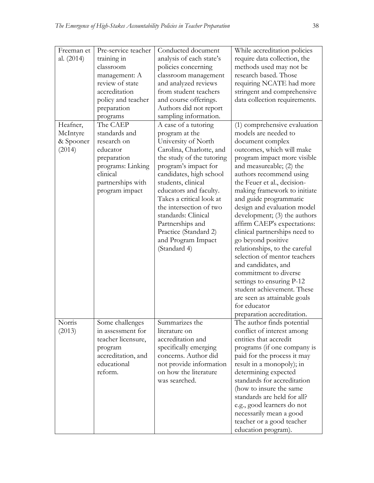| Freeman et   | Pre-service teacher | Conducted document        | While accreditation policies  |
|--------------|---------------------|---------------------------|-------------------------------|
| al. $(2014)$ | training in         | analysis of each state's  | require data collection, the  |
|              | classroom           | policies concerning       | methods used may not be       |
|              | management: A       | classroom management      | research based. Those         |
|              | review of state     | and analyzed reviews      | requiring NCATE had more      |
|              | accreditation       | from student teachers     | stringent and comprehensive   |
|              | policy and teacher  | and course offerings.     | data collection requirements. |
|              | preparation         | Authors did not report    |                               |
|              | programs            | sampling information.     |                               |
| Heafner,     | The CAEP            | A case of a tutoring      | (1) comprehensive evaluation  |
| McIntyre     | standards and       | program at the            | models are needed to          |
| & Spooner    | research on         | University of North       | document complex              |
| (2014)       | educator            | Carolina, Charlotte, and  | outcomes, which will make     |
|              | preparation         | the study of the tutoring | program impact more visible   |
|              | programs: Linking   | program's impact for      | and measureable; (2) the      |
|              | clinical            | candidates, high school   | authors recommend using       |
|              | partnerships with   | students, clinical        | the Feuer et al., decision-   |
|              | program impact      | educators and faculty.    | making framework to initiate  |
|              |                     | Takes a critical look at  | and guide programmatic        |
|              |                     | the intersection of two   | design and evaluation model   |
|              |                     | standards: Clinical       | development; (3) the authors  |
|              |                     | Partnerships and          | affirm CAEP's expectations:   |
|              |                     | Practice (Standard 2)     | clinical partnerships need to |
|              |                     | and Program Impact        | go beyond positive            |
|              |                     | (Standard 4)              | relationships, to the careful |
|              |                     |                           | selection of mentor teachers  |
|              |                     |                           | and candidates, and           |
|              |                     |                           | commitment to diverse         |
|              |                     |                           | settings to ensuring P-12     |
|              |                     |                           | student achievement. These    |
|              |                     |                           | are seen as attainable goals  |
|              |                     |                           | for educator                  |
|              |                     |                           | preparation accreditation.    |
| Norris       | Some challenges     | Summarizes the            | The author finds potential    |
| (2013)       | in assessment for   | literature on             | conflict of interest among    |
|              | teacher licensure,  | accreditation and         | entities that accredit        |
|              | program             | specifically emerging     | programs (if one company is   |
|              | accreditation, and  | concerns. Author did      | paid for the process it may   |
|              | educational         | not provide information   | result in a monopoly); in     |
|              | reform.             | on how the literature     | determining expected          |
|              |                     | was searched.             | standards for accreditation   |
|              |                     |                           | (how to insure the same       |
|              |                     |                           | standards are held for all?   |
|              |                     |                           | e.g., good learners do not    |
|              |                     |                           | necessarily mean a good       |
|              |                     |                           | teacher or a good teacher     |
|              |                     |                           | education program).           |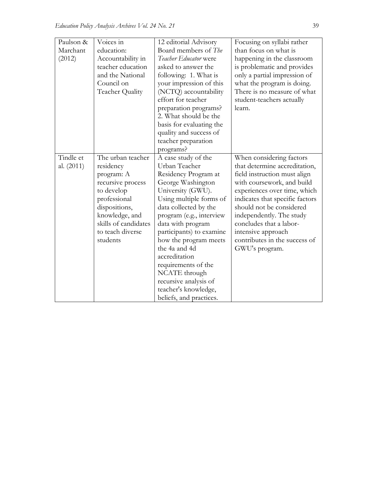| Paulson &    | Voices in            | 12 editorial Advisory    | Focusing on syllabi rather      |
|--------------|----------------------|--------------------------|---------------------------------|
| Marchant     | education:           | Board members of The     | than focus on what is           |
| (2012)       | Accountability in    | Teacher Educator were    | happening in the classroom      |
|              | teacher education    | asked to answer the      | is problematic and provides     |
|              | and the National     | following: 1. What is    | only a partial impression of    |
|              | Council on           | your impression of this  | what the program is doing.      |
|              | Teacher Quality      | (NCTQ) accountability    | There is no measure of what     |
|              |                      | effort for teacher       | student-teachers actually       |
|              |                      | preparation programs?    | learn.                          |
|              |                      | 2. What should be the    |                                 |
|              |                      | basis for evaluating the |                                 |
|              |                      | quality and success of   |                                 |
|              |                      | teacher preparation      |                                 |
|              |                      | programs?                |                                 |
| Tindle et    | The urban teacher    | A case study of the      | When considering factors        |
| al. $(2011)$ | residency            | Urban Teacher            | that determine accreditation,   |
|              | program: A           | Residency Program at     | field instruction must align    |
|              | recursive process    | George Washington        | with coursework, and build      |
|              | to develop           | University (GWU).        | experiences over time, which    |
|              | professional         | Using multiple forms of  | indicates that specific factors |
|              | dispositions,        | data collected by the    | should not be considered        |
|              | knowledge, and       | program (e.g., interview | independently. The study        |
|              | skills of candidates | data with program        | concludes that a labor-         |
|              | to teach diverse     | participants) to examine | intensive approach              |
|              | students             | how the program meets    | contributes in the success of   |
|              |                      | the 4a and 4d            | GWU's program.                  |
|              |                      | accreditation            |                                 |
|              |                      | requirements of the      |                                 |
|              |                      | NCATE through            |                                 |
|              |                      | recursive analysis of    |                                 |
|              |                      | teacher's knowledge,     |                                 |
|              |                      | beliefs, and practices.  |                                 |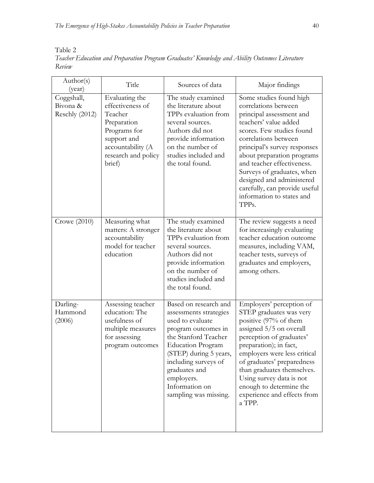# Table 2

*Teacher Education and Preparation Program Graduates' Knowledge and Ability Outcomes Literature Review*

| Author(s)<br>(year)                      | Title                                                                                                                                             | Sources of data                                                                                                                                                                                                                                                            | Major findings                                                                                                                                                                                                                                                                                                                                                                                       |
|------------------------------------------|---------------------------------------------------------------------------------------------------------------------------------------------------|----------------------------------------------------------------------------------------------------------------------------------------------------------------------------------------------------------------------------------------------------------------------------|------------------------------------------------------------------------------------------------------------------------------------------------------------------------------------------------------------------------------------------------------------------------------------------------------------------------------------------------------------------------------------------------------|
| Coggshall,<br>Bivona &<br>Reschly (2012) | Evaluating the<br>effectiveness of<br>Teacher<br>Preparation<br>Programs for<br>support and<br>accountability (A<br>research and policy<br>brief) | The study examined<br>the literature about<br>TPPs evaluation from<br>several sources.<br>Authors did not<br>provide information<br>on the number of<br>studies included and<br>the total found.                                                                           | Some studies found high<br>correlations between<br>principal assessment and<br>teachers' value added<br>scores. Few studies found<br>correlations between<br>principal's survey responses<br>about preparation programs<br>and teacher effectiveness.<br>Surveys of graduates, when<br>designed and administered<br>carefully, can provide useful<br>information to states and<br>TPP <sub>s</sub> . |
| Crowe $(2010)$                           | Measuring what<br>matters: A stronger<br>accountability<br>model for teacher<br>education                                                         | The study examined<br>the literature about<br>TPPs evaluation from<br>several sources.<br>Authors did not<br>provide information<br>on the number of<br>studies included and<br>the total found.                                                                           | The review suggests a need<br>for increasingly evaluating<br>teacher education outcome<br>measures, including VAM,<br>teacher tests, surveys of<br>graduates and employers,<br>among others.                                                                                                                                                                                                         |
| Darling-<br>Hammond<br>(2006)            | Assessing teacher<br>education: The<br>usefulness of<br>multiple measures<br>for assessing<br>program outcomes                                    | Based on research and<br>assessments strategies<br>used to evaluate<br>program outcomes in<br>the Stanford Teacher<br><b>Education Program</b><br>(STEP) during 5 years,<br>including surveys of<br>graduates and<br>employers.<br>Information on<br>sampling was missing. | Employers' perception of<br>STEP graduates was very<br>positive (97% of them<br>assigned 5/5 on overall<br>perception of graduates'<br>preparation); in fact,<br>employers were less critical<br>of graduates' preparedness<br>than graduates themselves.<br>Using survey data is not<br>enough to determine the<br>experience and effects from<br>a TPP.                                            |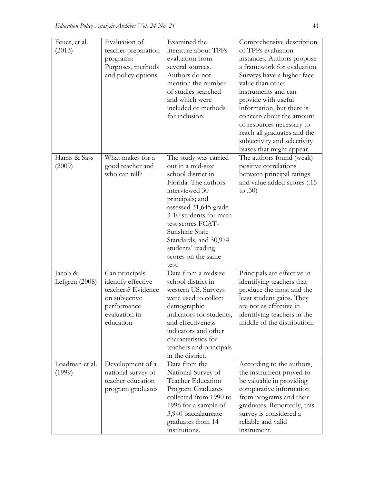| Feuer, et al.<br>(2013)   | Evaluation of<br>teacher preparation<br>programs:<br>Purposes, methods<br>and policy options.                            | Examined the<br>literature about TPPs<br>evaluation from<br>several sources.<br>Authors do not<br>mention the number<br>of studies searched<br>and which were<br>included or methods<br>for inclusion.                                                                                               | Comprehensive description<br>of TPPs evaluation<br>instances. Authors propose<br>a framework for evaluation.<br>Surveys have a higher face<br>value than other<br>instruments and can<br>provide with useful<br>information, but there is<br>concern about the amount<br>of resources necessary to |
|---------------------------|--------------------------------------------------------------------------------------------------------------------------|------------------------------------------------------------------------------------------------------------------------------------------------------------------------------------------------------------------------------------------------------------------------------------------------------|----------------------------------------------------------------------------------------------------------------------------------------------------------------------------------------------------------------------------------------------------------------------------------------------------|
|                           |                                                                                                                          |                                                                                                                                                                                                                                                                                                      | reach all graduates and the<br>subjectivity and selectivity<br>biases that might appear.                                                                                                                                                                                                           |
| Harris & Sass<br>(2009)   | What makes for a<br>good teacher and<br>who can tell?                                                                    | The study was carried<br>out in a mid-size<br>school district in<br>Florida. The authors<br>interviewed 30<br>principals; and<br>assessed 31,645 grade<br>3-10 students for math<br>test scores FCAT-<br>Sunshine State<br>Standards, and 30,974<br>students' reading<br>scores on the same<br>test. | The authors found (weak)<br>positive correlations<br>between principal ratings<br>and value added scores (.15<br>to $.30)$                                                                                                                                                                         |
| Jacob &<br>Lefgren (2008) | Can principals<br>identify effective<br>teachers? Evidence<br>on subjective<br>performance<br>evaluation in<br>education | Data from a midsize<br>school district in<br>western US. Surveys<br>were used to collect<br>demographic<br>indicators for students,<br>and effectiveness<br>indicators and other<br>characteristics for<br>teachers and principals<br>in the district.                                               | Principals are effective in<br>identifying teachers that<br>produce the most and the<br>least student gains. They<br>are not as effective in<br>identifying teachers in the<br>middle of the distribution.                                                                                         |
| Loadman et al.<br>(1999)  | Development of a<br>national survey of<br>teacher education<br>program graduates                                         | Data from the<br>National Survey of<br>Teacher Education<br>Program Graduates<br>collected from 1990 to<br>1996 for a sample of<br>3,940 baccalaureate<br>graduates from 14<br>institutions.                                                                                                         | According to the authors,<br>the instrument proved to<br>be valuable in providing<br>comparative information<br>from programs and their<br>graduates. Reportedly, this<br>survey is considered a<br>reliable and valid<br>instrument.                                                              |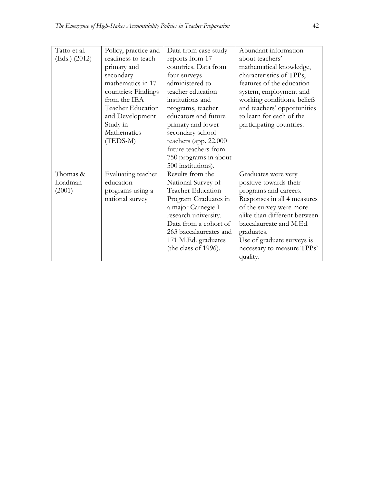| Tatto et al.  | Policy, practice and     | Data from case study   | Abundant information         |
|---------------|--------------------------|------------------------|------------------------------|
| (Eds.) (2012) | readiness to teach       | reports from 17        | about teachers'              |
|               | primary and              | countries. Data from   | mathematical knowledge,      |
|               | secondary                | four surveys           | characteristics of TPPs,     |
|               | mathematics in 17        | administered to        | features of the education    |
|               | countries: Findings      | teacher education      | system, employment and       |
|               | from the IEA             | institutions and       | working conditions, beliefs  |
|               | <b>Teacher Education</b> | programs, teacher      | and teachers' opportunities  |
|               | and Development          | educators and future   | to learn for each of the     |
|               | Study in                 | primary and lower-     | participating countries.     |
|               | Mathematics              | secondary school       |                              |
|               | (TEDS-M)                 | teachers (app. 22,000  |                              |
|               |                          | future teachers from   |                              |
|               |                          | 750 programs in about  |                              |
|               |                          | 500 institutions).     |                              |
| Thomas &      | Evaluating teacher       | Results from the       | Graduates were very          |
| Loadman       | education                | National Survey of     | positive towards their       |
| (2001)        | programs using a         | Teacher Education      | programs and careers.        |
|               | national survey          | Program Graduates in   | Responses in all 4 measures  |
|               |                          | a major Carnegie I     | of the survey were more      |
|               |                          | research university.   | alike than different between |
|               |                          | Data from a cohort of  | baccalaureate and M.Ed.      |
|               |                          | 263 baccalaureates and | graduates.                   |
|               |                          | 171 M.Ed. graduates    | Use of graduate surveys is   |
|               |                          | (the class of 1996).   | necessary to measure TPPs'   |
|               |                          |                        | quality.                     |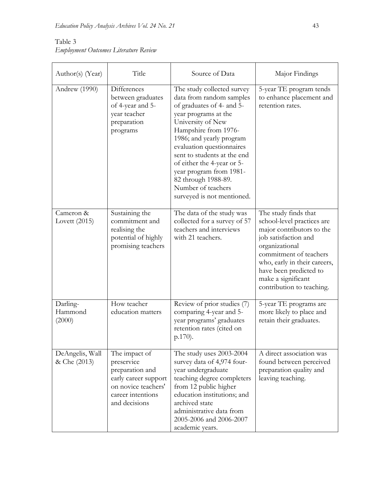| Author(s) (Year)                | Title                                                                                                                               | Source of Data                                                                                                                                                                                                                                                                                                                                                                       | Major Findings                                                                                                                                                                                                                                                   |
|---------------------------------|-------------------------------------------------------------------------------------------------------------------------------------|--------------------------------------------------------------------------------------------------------------------------------------------------------------------------------------------------------------------------------------------------------------------------------------------------------------------------------------------------------------------------------------|------------------------------------------------------------------------------------------------------------------------------------------------------------------------------------------------------------------------------------------------------------------|
| Andrew (1990)                   | Differences<br>between graduates<br>of 4-year and 5-<br>year teacher<br>preparation<br>programs                                     | The study collected survey<br>data from random samples<br>of graduates of 4- and 5-<br>year programs at the<br>University of New<br>Hampshire from 1976-<br>1986; and yearly program<br>evaluation questionnaires<br>sent to students at the end<br>of either the 4-year or 5-<br>year program from 1981-<br>82 through 1988-89.<br>Number of teachers<br>surveyed is not mentioned. | 5-year TE program tends<br>to enhance placement and<br>retention rates.                                                                                                                                                                                          |
| Cameron &<br>Lovett $(2015)$    | Sustaining the<br>commitment and<br>realising the<br>potential of highly<br>promising teachers                                      | The data of the study was<br>collected for a survey of 57<br>teachers and interviews<br>with 21 teachers.                                                                                                                                                                                                                                                                            | The study finds that<br>school-level practices are<br>major contributors to the<br>job satisfaction and<br>organizational<br>commitment of teachers<br>who, early in their careers,<br>have been predicted to<br>make a significant<br>contribution to teaching. |
| Darling-<br>Hammond<br>(2000)   | How teacher<br>education matters                                                                                                    | Review of prior studies (7)<br>comparing 4-year and 5-<br>year programs' graduates<br>retention rates (cited on<br>p.170).                                                                                                                                                                                                                                                           | 5-year TE programs are<br>more likely to place and<br>retain their graduates.                                                                                                                                                                                    |
| DeAngelis, Wall<br>& Che (2013) | The impact of<br>preservice<br>preparation and<br>early career support<br>on novice teachers'<br>career intentions<br>and decisions | The study uses 2003-2004<br>survey data of 4,974 four-<br>year undergraduate<br>teaching degree completers<br>from 12 public higher<br>education institutions; and<br>archived state<br>administrative data from<br>2005-2006 and 2006-2007<br>academic years.                                                                                                                       | A direct association was<br>found between perceived<br>preparation quality and<br>leaving teaching.                                                                                                                                                              |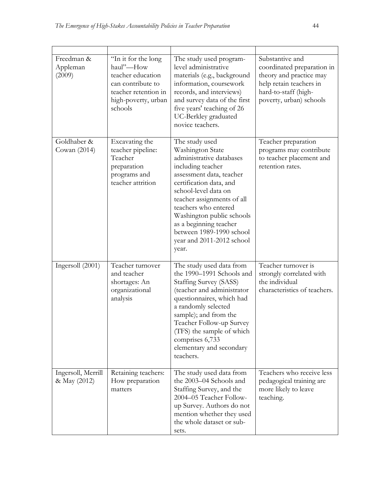| Freedman &<br>Appleman<br>(2009)   | "In it for the long<br>haul"-How<br>teacher education<br>can contribute to<br>teacher retention in<br>high-poverty, urban<br>schools | The study used program-<br>level administrative<br>materials (e.g., background<br>information, coursework<br>records, and interviews)<br>and survey data of the first<br>five years' teaching of 26<br>UC-Berkley graduated<br>novice teachers.                                                                                                   | Substantive and<br>coordinated preparation in<br>theory and practice may<br>help retain teachers in<br>hard-to-staff (high-<br>poverty, urban) schools |
|------------------------------------|--------------------------------------------------------------------------------------------------------------------------------------|---------------------------------------------------------------------------------------------------------------------------------------------------------------------------------------------------------------------------------------------------------------------------------------------------------------------------------------------------|--------------------------------------------------------------------------------------------------------------------------------------------------------|
| Goldhaber &<br>Cowan (2014)        | Excavating the<br>teacher pipeline:<br>Teacher<br>preparation<br>programs and<br>teacher attrition                                   | The study used<br>Washington State<br>administrative databases<br>including teacher<br>assessment data, teacher<br>certification data, and<br>school-level data on<br>teacher assignments of all<br>teachers who entered<br>Washington public schools<br>as a beginning teacher<br>between 1989-1990 school<br>year and 2011-2012 school<br>year. | Teacher preparation<br>programs may contribute<br>to teacher placement and<br>retention rates.                                                         |
| Ingersoll (2001)                   | Teacher turnover<br>and teacher<br>shortages: An<br>organizational<br>analysis                                                       | The study used data from<br>the 1990–1991 Schools and<br><b>Staffing Survey (SASS)</b><br>(teacher and administrator<br>questionnaires, which had<br>a randomly selected<br>sample); and from the<br>Teacher Follow-up Survey<br>(TFS) the sample of which<br>comprises 6,733<br>elementary and secondary<br>teachers.                            | Teacher turnover is<br>strongly correlated with<br>the individual<br>characteristics of teachers.                                                      |
| Ingersoll, Merrill<br>& May (2012) | Retaining teachers:<br>How preparation<br>matters                                                                                    | The study used data from<br>the 2003-04 Schools and<br>Staffing Survey, and the<br>2004-05 Teacher Follow-<br>up Survey. Authors do not<br>mention whether they used<br>the whole dataset or sub-<br>sets.                                                                                                                                        | Teachers who receive less<br>pedagogical training are<br>more likely to leave<br>teaching.                                                             |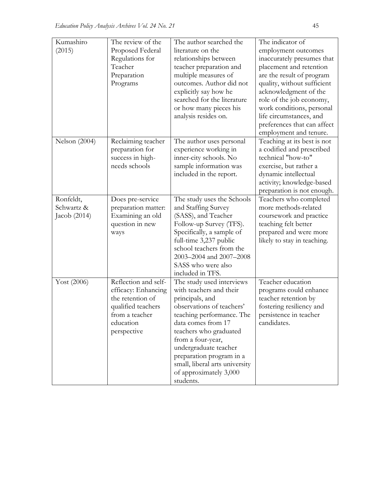| Kumashiro<br>(2015)                    | The review of the<br>Proposed Federal<br>Regulations for<br>Teacher<br>Preparation<br>Programs                                      | The author searched the<br>literature on the<br>relationships between<br>teacher preparation and<br>multiple measures of<br>outcomes. Author did not<br>explicitly say how he                                                                                                                                                        | The indicator of<br>employment outcomes<br>inaccurately presumes that<br>placement and retention<br>are the result of program<br>quality, without sufficient<br>acknowledgment of the       |
|----------------------------------------|-------------------------------------------------------------------------------------------------------------------------------------|--------------------------------------------------------------------------------------------------------------------------------------------------------------------------------------------------------------------------------------------------------------------------------------------------------------------------------------|---------------------------------------------------------------------------------------------------------------------------------------------------------------------------------------------|
|                                        |                                                                                                                                     | searched for the literature<br>or how many pieces his<br>analysis resides on.                                                                                                                                                                                                                                                        | role of the job economy,<br>work conditions, personal<br>life circumstances, and<br>preferences that can affect<br>employment and tenure.                                                   |
| <b>Nelson</b> (2004)                   | Reclaiming teacher<br>preparation for<br>success in high-<br>needs schools                                                          | The author uses personal<br>experience working in<br>inner-city schools. No<br>sample information was<br>included in the report.                                                                                                                                                                                                     | Teaching at its best is not<br>a codified and prescribed<br>technical "how-to"<br>exercise, but rather a<br>dynamic intellectual<br>activity; knowledge-based<br>preparation is not enough. |
| Ronfeldt,<br>Schwartz &<br>Jacob(2014) | Does pre-service<br>preparation matter:<br>Examining an old<br>question in new<br>ways                                              | The study uses the Schools<br>and Staffing Survey<br>(SASS), and Teacher<br>Follow-up Survey (TFS).<br>Specifically, a sample of<br>full-time 3,237 public<br>school teachers from the<br>2003-2004 and 2007-2008<br>SASS who were also<br>included in TFS.                                                                          | Teachers who completed<br>more methods-related<br>coursework and practice<br>teaching felt better<br>prepared and were more<br>likely to stay in teaching.                                  |
| Yost (2006)                            | Reflection and self-<br>efficacy: Enhancing<br>the retention of<br>qualified teachers<br>from a teacher<br>education<br>perspective | The study used interviews<br>with teachers and their<br>principals, and<br>observations of teachers'<br>teaching performance. The<br>data comes from 17<br>teachers who graduated<br>from a four-year,<br>undergraduate teacher<br>preparation program in a<br>small, liberal arts university<br>of approximately 3,000<br>students. | Teacher education<br>programs could enhance<br>teacher retention by<br>fostering resiliency and<br>persistence in teacher<br>candidates.                                                    |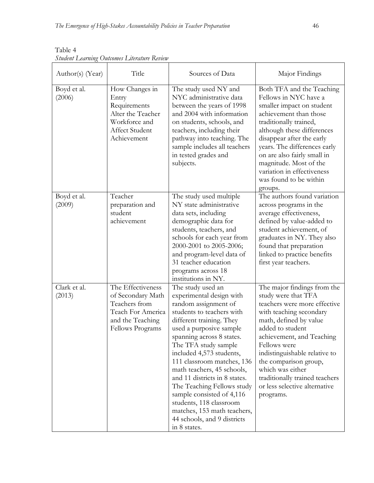| Author(s) (Year)       | Title                                                                                                                | Sources of Data                                                                                                                                                                                                                                                                                                                                                                                                                                                                                             | Major Findings                                                                                                                                                                                                                                                                                                                                                         |
|------------------------|----------------------------------------------------------------------------------------------------------------------|-------------------------------------------------------------------------------------------------------------------------------------------------------------------------------------------------------------------------------------------------------------------------------------------------------------------------------------------------------------------------------------------------------------------------------------------------------------------------------------------------------------|------------------------------------------------------------------------------------------------------------------------------------------------------------------------------------------------------------------------------------------------------------------------------------------------------------------------------------------------------------------------|
| Boyd et al.<br>(2006)  | How Changes in<br>Entry<br>Requirements<br>Alter the Teacher<br>Workforce and<br>Affect Student<br>Achievement       | The study used NY and<br>NYC administrative data<br>between the years of 1998<br>and 2004 with information<br>on students, schools, and<br>teachers, including their<br>pathway into teaching. The<br>sample includes all teachers<br>in tested grades and<br>subjects.                                                                                                                                                                                                                                     | Both TFA and the Teaching<br>Fellows in NYC have a<br>smaller impact on student<br>achievement than those<br>traditionally trained,<br>although these differences<br>disappear after the early<br>years. The differences early<br>on are also fairly small in<br>magnitude. Most of the<br>variation in effectiveness<br>was found to be within<br>groups.             |
| Boyd et al.<br>(2009)  | Teacher<br>preparation and<br>student<br>achievement                                                                 | The study used multiple<br>NY state administrative<br>data sets, including<br>demographic data for<br>students, teachers, and<br>schools for each year from<br>2000-2001 to 2005-2006;<br>and program-level data of<br>31 teacher education<br>programs across 18<br>institutions in NY.                                                                                                                                                                                                                    | The authors found variation<br>across programs in the<br>average effectiveness,<br>defined by value-added to<br>student achievement, of<br>graduates in NY. They also<br>found that preparation<br>linked to practice benefits<br>first year teachers.                                                                                                                 |
| Clark et al.<br>(2013) | The Effectiveness<br>of Secondary Math<br>Teachers from<br>Teach For America<br>and the Teaching<br>Fellows Programs | The study used an<br>experimental design with<br>random assignment of<br>students to teachers with<br>different training. They<br>used a purposive sample<br>spanning across 8 states.<br>The TFA study sample<br>included 4,573 students,<br>111 classroom matches, 136<br>math teachers, 45 schools,<br>and 11 districts in 8 states.<br>The Teaching Fellows study<br>sample consisted of 4,116<br>students, 118 classroom<br>matches, 153 math teachers,<br>44 schools, and 9 districts<br>in 8 states. | The major findings from the<br>study were that TFA<br>teachers were more effective<br>with teaching secondary<br>math, defined by value<br>added to student<br>achievement, and Teaching<br>Fellows were<br>indistinguishable relative to<br>the comparison group,<br>which was either<br>traditionally trained teachers<br>or less selective alternative<br>programs. |

Table 4 *Student Learning Outcomes Literature Review*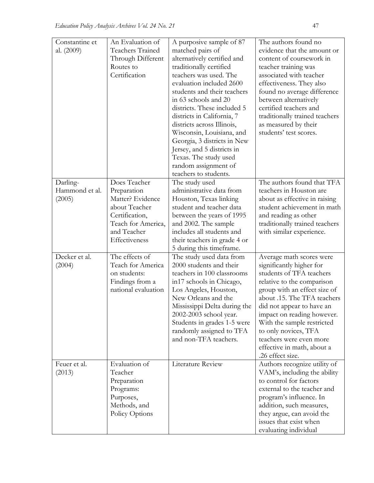| Constantine et<br>al. (2009)         | An Evaluation of<br>Teachers Trained<br>Through Different<br>Routes to<br>Certification                                                  | A purposive sample of 87<br>matched pairs of<br>alternatively certified and<br>traditionally certified<br>teachers was used. The<br>evaluation included 2600<br>students and their teachers<br>in 63 schools and 20<br>districts. These included 5<br>districts in California, 7<br>districts across Illinois, | The authors found no<br>evidence that the amount or<br>content of coursework in<br>teacher training was<br>associated with teacher<br>effectiveness. They also<br>found no average difference<br>between alternatively<br>certified teachers and<br>traditionally trained teachers<br>as measured by their                                                                  |
|--------------------------------------|------------------------------------------------------------------------------------------------------------------------------------------|----------------------------------------------------------------------------------------------------------------------------------------------------------------------------------------------------------------------------------------------------------------------------------------------------------------|-----------------------------------------------------------------------------------------------------------------------------------------------------------------------------------------------------------------------------------------------------------------------------------------------------------------------------------------------------------------------------|
|                                      |                                                                                                                                          | Wisconsin, Louisiana, and<br>Georgia, 3 districts in New<br>Jersey, and 5 districts in<br>Texas. The study used<br>random assignment of<br>teachers to students.                                                                                                                                               | students' test scores.                                                                                                                                                                                                                                                                                                                                                      |
| Darling-<br>Hammond et al.<br>(2005) | Does Teacher<br>Preparation<br>Matter? Evidence<br>about Teacher<br>Certification,<br>Teach for America,<br>and Teacher<br>Effectiveness | The study used<br>administrative data from<br>Houston, Texas linking<br>student and teacher data<br>between the years of 1995<br>and 2002. The sample<br>includes all students and<br>their teachers in grade 4 or<br>5 during this timeframe.                                                                 | The authors found that TFA<br>teachers in Houston are<br>about as effective in raising<br>student achievement in math<br>and reading as other<br>traditionally trained teachers<br>with similar experience.                                                                                                                                                                 |
| Decker et al.<br>(2004)              | The effects of<br>Teach for America<br>on students:<br>Findings from a<br>national evaluation                                            | The study used data from<br>2000 students and their<br>teachers in 100 classrooms<br>in17 schools in Chicago,<br>Los Angeles, Houston,<br>New Orleans and the<br>Mississippi Delta during the<br>2002-2003 school year.<br>Students in grades 1-5 were<br>randomly assigned to TFA<br>and non-TFA teachers.    | Average math scores were<br>significantly higher for<br>students of TFA teachers<br>relative to the comparison<br>group with an effect size of<br>about .15. The TFA teachers<br>did not appear to have an<br>impact on reading however.<br>With the sample restricted<br>to only novices, TFA<br>teachers were even more<br>effective in math, about a<br>.26 effect size. |
| Feuer et al.<br>(2013)               | Evaluation of<br>Teacher<br>Preparation<br>Programs:<br>Purposes,<br>Methods, and<br>Policy Options                                      | Literature Review                                                                                                                                                                                                                                                                                              | Authors recognize utility of<br>VAM's, including the ability<br>to control for factors<br>external to the teacher and<br>program's influence. In<br>addition, such measures,<br>they argue, can avoid the<br>issues that exist when<br>evaluating individual                                                                                                                |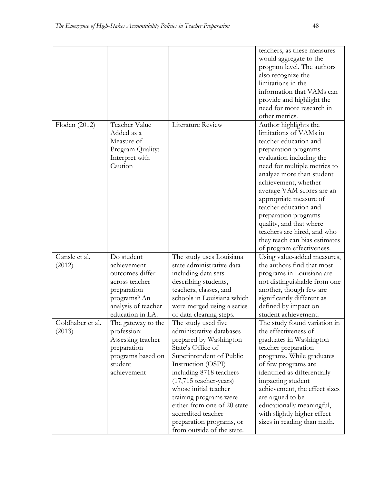|                  |                     |                             | teachers, as these measures   |
|------------------|---------------------|-----------------------------|-------------------------------|
|                  |                     |                             | would aggregate to the        |
|                  |                     |                             | program level. The authors    |
|                  |                     |                             | also recognize the            |
|                  |                     |                             | limitations in the            |
|                  |                     |                             | information that VAMs can     |
|                  |                     |                             | provide and highlight the     |
|                  |                     |                             | need for more research in     |
|                  |                     |                             | other metrics.                |
| Floden (2012)    | Teacher Value       | Literature Review           | Author highlights the         |
|                  | Added as a          |                             | limitations of VAMs in        |
|                  | Measure of          |                             | teacher education and         |
|                  |                     |                             |                               |
|                  | Program Quality:    |                             | preparation programs          |
|                  | Interpret with      |                             | evaluation including the      |
|                  | Caution             |                             | need for multiple metrics to  |
|                  |                     |                             | analyze more than student     |
|                  |                     |                             | achievement, whether          |
|                  |                     |                             | average VAM scores are an     |
|                  |                     |                             | appropriate measure of        |
|                  |                     |                             | teacher education and         |
|                  |                     |                             | preparation programs          |
|                  |                     |                             | quality, and that where       |
|                  |                     |                             | teachers are hired, and who   |
|                  |                     |                             | they teach can bias estimates |
|                  |                     |                             | of program effectiveness.     |
| Gansle et al.    | Do student          | The study uses Louisiana    | Using value-added measures,   |
| (2012)           | achievement         | state administrative data   | the authors find that most    |
|                  | outcomes differ     | including data sets         | programs in Louisiana are     |
|                  | across teacher      | describing students,        | not distinguishable from one  |
|                  | preparation         | teachers, classes, and      | another, though few are       |
|                  | programs? An        | schools in Louisiana which  | significantly different as    |
|                  |                     |                             |                               |
|                  | analysis of teacher | were merged using a series  | defined by impact on          |
|                  | education in LA.    | of data cleaning steps.     | student achievement.          |
| Goldhaber et al. | The gateway to the  | The study used five         | The study found variation in  |
| (2013)           | profession:         | administrative databases    | the effectiveness of          |
|                  | Assessing teacher   | prepared by Washington      | graduates in Washington       |
|                  | preparation         | State's Office of           | teacher preparation           |
|                  | programs based on   | Superintendent of Public    | programs. While graduates     |
|                  | student             | Instruction (OSPI)          | of few programs are           |
|                  | achievement         | including 8718 teachers     | identified as differentially  |
|                  |                     | (17,715 teacher-years)      | impacting student             |
|                  |                     | whose initial teacher       | achievement, the effect sizes |
|                  |                     | training programs were      | are argued to be              |
|                  |                     | either from one of 20 state | educationally meaningful,     |
|                  |                     | accredited teacher          | with slightly higher effect   |
|                  |                     | preparation programs, or    | sizes in reading than math.   |
|                  |                     | from outside of the state.  |                               |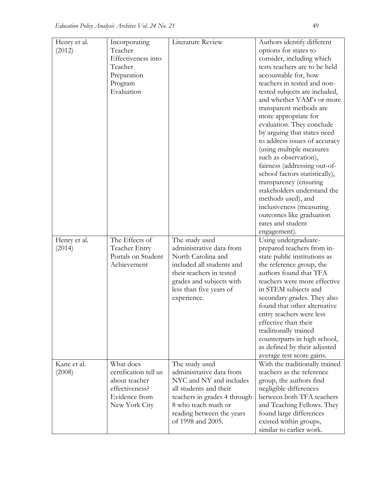| Henry et al. | Incorporating         | Literature Review            | Authors identify different                                  |
|--------------|-----------------------|------------------------------|-------------------------------------------------------------|
| (2012)       | Teacher               |                              | options for states to                                       |
|              | Effectiveness into    |                              | consider, including which                                   |
|              | Teacher               |                              | tests teachers are to be held                               |
|              | Preparation           |                              | accountable for, how                                        |
|              | Program               |                              | teachers in tested and non-                                 |
|              | Evaluation            |                              | tested subjects are included,                               |
|              |                       |                              | and whether VAM's or more                                   |
|              |                       |                              | transparent methods are                                     |
|              |                       |                              | more appropriate for                                        |
|              |                       |                              | evaluation. They conclude                                   |
|              |                       |                              | by arguing that states need                                 |
|              |                       |                              | to address issues of accuracy                               |
|              |                       |                              | (using multiple measures                                    |
|              |                       |                              | such as observation),                                       |
|              |                       |                              | fairness (addressing out-of-                                |
|              |                       |                              | school factors statistically),                              |
|              |                       |                              | transparency (ensuring<br>stakeholders understand the       |
|              |                       |                              | methods used), and                                          |
|              |                       |                              | inclusiveness (measuring                                    |
|              |                       |                              | outcomes like graduation                                    |
|              |                       |                              | rates and student                                           |
|              |                       |                              | engagement).                                                |
|              |                       |                              |                                                             |
| Henry et al. | The Effects of        | The study used               | Using undergraduate-                                        |
| (2014)       | Teacher Entry         | administrative data from     | prepared teachers from in-                                  |
|              | Portals on Student    | North Carolina and           | state public institutions as                                |
|              | Achievement           | included all students and    | the reference group, the                                    |
|              |                       | their teachers in tested     | authors found that TFA                                      |
|              |                       | grades and subjects with     | teachers were more effective                                |
|              |                       | less than five years of      | in STEM subjects and                                        |
|              |                       | experience.                  | secondary grades. They also                                 |
|              |                       |                              | found that other alternative                                |
|              |                       |                              | entry teachers were less                                    |
|              |                       |                              | effective than their                                        |
|              |                       |                              | traditionally trained                                       |
|              |                       |                              | counterparts in high school,                                |
|              |                       |                              | as defined by their adjusted                                |
| Kane et al.  | What does             | The study used               | average test score gains.<br>With the traditionally trained |
| (2008)       | certification tell us | administrative data from     | teachers as the reference                                   |
|              | about teacher         | NYC and NY and includes      | group, the authors find                                     |
|              | effectiveness?        | all students and their       | negligible differences                                      |
|              | Evidence from         | teachers in grades 4 through | between both TFA teachers                                   |
|              | New York City         | 8 who teach math or          | and Teaching Fellows. They                                  |
|              |                       | reading between the years    | found large differences                                     |
|              |                       | of 1998 and 2005.            | existed within groups,<br>similar to earlier work.          |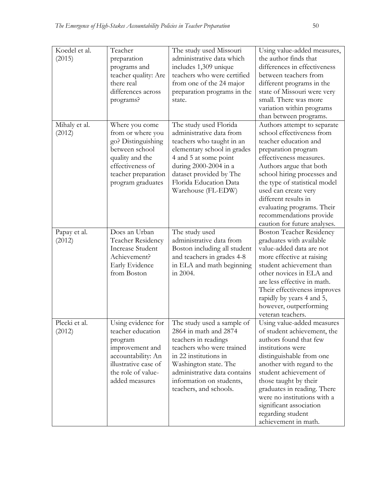| Koedel et al.<br>(2015) | Teacher<br>preparation<br>programs and<br>teacher quality: Are<br>there real<br>differences across<br>programs?                                                | The study used Missouri<br>administrative data which<br>includes 1,309 unique<br>teachers who were certified<br>from one of the 24 major<br>preparation programs in the<br>state.                                                                | Using value-added measures,<br>the author finds that<br>differences in effectiveness<br>between teachers from<br>different programs in the<br>state of Missouri were very<br>small. There was more<br>variation within programs<br>than between programs.                                                                                                               |
|-------------------------|----------------------------------------------------------------------------------------------------------------------------------------------------------------|--------------------------------------------------------------------------------------------------------------------------------------------------------------------------------------------------------------------------------------------------|-------------------------------------------------------------------------------------------------------------------------------------------------------------------------------------------------------------------------------------------------------------------------------------------------------------------------------------------------------------------------|
| Mihaly et al.<br>(2012) | Where you come<br>from or where you<br>go? Distinguishing<br>between school<br>quality and the<br>effectiveness of<br>teacher preparation<br>program graduates | The study used Florida<br>administrative data from<br>teachers who taught in an<br>elementary school in grades<br>4 and 5 at some point<br>during 2000-2004 in a<br>dataset provided by The<br>Florida Education Data<br>Warehouse (FL-EDW)      | Authors attempt to separate<br>school effectiveness from<br>teacher education and<br>preparation program<br>effectiveness measures.<br>Authors argue that both<br>school hiring processes and<br>the type of statistical model<br>used can create very<br>different results in<br>evaluating programs. Their<br>recommendations provide<br>caution for future analyses. |
| Papay et al.<br>(2012)  | Does an Urban<br>Teacher Residency<br><b>Increase Student</b><br>Achievement?<br>Early Evidence<br>from Boston                                                 | The study used<br>administrative data from<br>Boston including all student<br>and teachers in grades 4-8<br>in ELA and math beginning<br>in 2004.                                                                                                | <b>Boston Teacher Residency</b><br>graduates with available<br>value-added data are not<br>more effective at raising<br>student achievement than<br>other novices in ELA and<br>are less effective in math.<br>Their effectiveness improves<br>rapidly by years 4 and 5,<br>however, outperforming<br>veteran teachers.                                                 |
| Plecki et al.<br>(2012) | Using evidence for<br>teacher education<br>program<br>improvement and<br>accountability: An<br>illustrative case of<br>the role of value-<br>added measures    | The study used a sample of<br>2864 in math and 2874<br>teachers in readings<br>teachers who were trained<br>in 22 institutions in<br>Washington state. The<br>administrative data contains<br>information on students,<br>teachers, and schools. | Using value-added measures<br>of student achievement, the<br>authors found that few<br>institutions were<br>distinguishable from one<br>another with regard to the<br>student achievement of<br>those taught by their<br>graduates in reading. There<br>were no institutions with a<br>significant association<br>regarding student<br>achievement in math.             |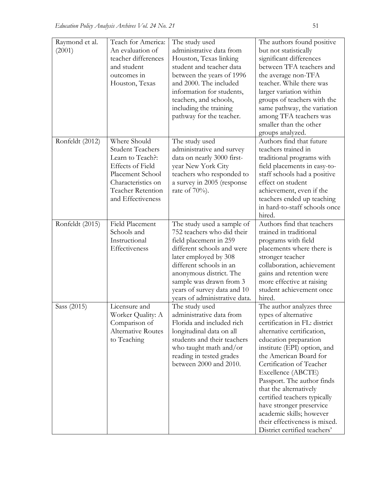| Raymond et al.<br>(2001) | Teach for America:<br>An evaluation of<br>teacher differences<br>and student<br>outcomes in<br>Houston, Texas                                                              | The study used<br>administrative data from<br>Houston, Texas linking<br>student and teacher data<br>between the years of 1996<br>and 2000. The included<br>information for students,<br>teachers, and schools,<br>including the training<br>pathway for the teacher.                       | The authors found positive<br>but not statistically<br>significant differences<br>between TFA teachers and<br>the average non-TFA<br>teacher. While there was<br>larger variation within<br>groups of teachers with the<br>same pathway, the variation<br>among TFA teachers was<br>smaller than the other<br>groups analyzed.                                                                                                                                        |
|--------------------------|----------------------------------------------------------------------------------------------------------------------------------------------------------------------------|--------------------------------------------------------------------------------------------------------------------------------------------------------------------------------------------------------------------------------------------------------------------------------------------|-----------------------------------------------------------------------------------------------------------------------------------------------------------------------------------------------------------------------------------------------------------------------------------------------------------------------------------------------------------------------------------------------------------------------------------------------------------------------|
| Ronfeldt (2012)          | Where Should<br><b>Student Teachers</b><br>Learn to Teach?:<br>Effects of Field<br>Placement School<br>Characteristics on<br><b>Teacher Retention</b><br>and Effectiveness | The study used<br>administrative and survey<br>data on nearly 3000 first-<br>year New York City<br>teachers who responded to<br>a survey in 2005 (response<br>rate of $70\%$ ).                                                                                                            | Authors find that future<br>teachers trained in<br>traditional programs with<br>field placements in easy-to-<br>staff schools had a positive<br>effect on student<br>achievement, even if the<br>teachers ended up teaching<br>in hard-to-staff schools once<br>hired.                                                                                                                                                                                                |
| Ronfeldt (2015)          | <b>Field Placement</b><br>Schools and<br>Instructional<br>Effectiveness                                                                                                    | The study used a sample of<br>752 teachers who did their<br>field placement in 259<br>different schools and were<br>later employed by 308<br>different schools in an<br>anonymous district. The<br>sample was drawn from 3<br>years of survey data and 10<br>years of administrative data. | Authors find that teachers<br>trained in traditional<br>programs with field<br>placements where there is<br>stronger teacher<br>collaboration, achievement<br>gains and retention were<br>more effective at raising<br>student achievement once<br>hired.                                                                                                                                                                                                             |
| Sass (2015)              | Licensure and<br>Worker Quality: A<br>Comparison of<br>Alternative Routes<br>to Teaching                                                                                   | The study used<br>administrative data from<br>Florida and included rich<br>longitudinal data on all<br>students and their teachers<br>who taught math and/or<br>reading in tested grades<br>between 2000 and 2010.                                                                         | The author analyzes three<br>types of alternative<br>certification in FL: district<br>alternative certification,<br>education preparation<br>institute (EPI) option, and<br>the American Board for<br>Certification of Teacher<br>Excellence (ABCTE)<br>Passport. The author finds<br>that the alternatively<br>certified teachers typically<br>have stronger preservice<br>academic skills; however<br>their effectiveness is mixed.<br>District certified teachers' |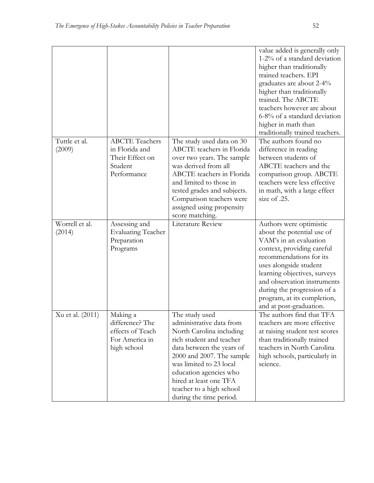|                          |                                                                                      |                                                                                                                                                                                                                                                                                                    | value added is generally only<br>1-2% of a standard deviation<br>higher than traditionally<br>trained teachers. EPI<br>graduates are about 2-4%<br>higher than traditionally<br>trained. The ABCTE<br>teachers however are about<br>6-8% of a standard deviation<br>higher in math than<br>traditionally trained teachers. |
|--------------------------|--------------------------------------------------------------------------------------|----------------------------------------------------------------------------------------------------------------------------------------------------------------------------------------------------------------------------------------------------------------------------------------------------|----------------------------------------------------------------------------------------------------------------------------------------------------------------------------------------------------------------------------------------------------------------------------------------------------------------------------|
| Tuttle et al.<br>(2009)  | <b>ABCTE Teachers</b><br>in Florida and<br>Their Effect on<br>Student<br>Performance | The study used data on 30<br>ABCTE teachers in Florida<br>over two years. The sample<br>was derived from all<br>ABCTE teachers in Florida<br>and limited to those in<br>tested grades and subjects.<br>Comparison teachers were<br>assigned using propensity<br>score matching.                    | The authors found no<br>difference in reading<br>between students of<br>ABCTE teachers and the<br>comparison group. ABCTE<br>teachers were less effective<br>in math, with a large effect<br>size of .25.                                                                                                                  |
| Worrell et al.<br>(2014) | Assessing and<br><b>Evaluating Teacher</b><br>Preparation<br>Programs                | Literature Review                                                                                                                                                                                                                                                                                  | Authors were optimistic<br>about the potential use of<br>VAM's in an evaluation<br>context, providing careful<br>recommendations for its<br>uses alongside student<br>learning objectives, surveys<br>and observation instruments<br>during the progression of a<br>program, at its completion,<br>and at post-graduation. |
| Xu et al. (2011)         | Making a<br>difference? The<br>effects of Teach<br>For America in<br>high school     | The study used<br>administrative data from<br>North Carolina including<br>rich student and teacher<br>data between the years of<br>2000 and 2007. The sample<br>was limited to 23 local<br>education agencies who<br>hired at least one TFA<br>teacher to a high school<br>during the time period. | The authors find that TFA<br>teachers are more effective<br>at raising student test scores<br>than traditionally trained<br>teachers in North Carolina<br>high schools, particularly in<br>science.                                                                                                                        |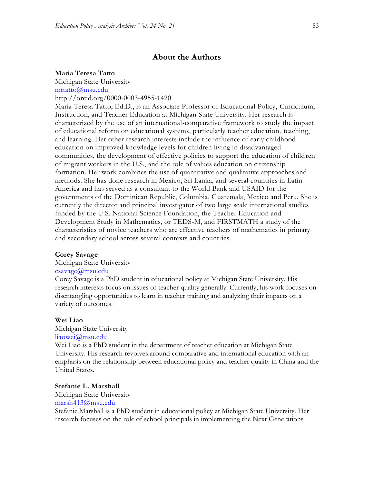# **About the Authors**

#### **Maria Teresa Tatto**

Michigan State University [mttatto@msu.edu](mailto:mttatto@msu.edu) http://orcid.org/0000-0003-4955-1420

Maria Teresa Tatto, Ed.D., is an Associate Professor of Educational Policy, Curriculum, Instruction, and Teacher Education at Michigan State University. Her research is characterized by the use of an international-comparative framework to study the impact of educational reform on educational systems, particularly teacher education, teaching, and learning. Her other research interests include the influence of early childhood education on improved knowledge levels for children living in disadvantaged communities, the development of effective policies to support the education of children of migrant workers in the U.S., and the role of values education on citizenship formation. Her work combines the use of quantitative and qualitative approaches and methods. She has done research in Mexico, Sri Lanka, and several countries in Latin America and has served as a consultant to the World Bank and USAID for the governments of the Dominican Republic, Columbia, Guatemala, Mexico and Peru. She is currently the director and principal investigator of two large scale international studies funded by the U.S. National Science Foundation, the Teacher Education and Development Study in Mathematics, or TEDS-M, and FIRSTMATH a study of the characteristics of novice teachers who are effective teachers of mathematics in primary and secondary school across several contexts and countries.

#### **Corey Savage**

## Michigan State University

#### [csavage@msu.edu](mailto:csavage@msu.edu)

Corey Savage is a PhD student in educational policy at Michigan State University. His research interests focus on issues of teacher quality generally. Currently, his work focuses on disentangling opportunities to learn in teacher training and analyzing their impacts on a variety of outcomes.

#### **Wei Liao**

Michigan State University [liaowei@msu.edu](mailto:liaowei@msu.edu)

Wei Liao is a PhD student in the department of teacher education at Michigan State University. His research revolves around comparative and international education with an emphasis on the relationship between educational policy and teacher quality in China and the United States.

**Stefanie L. Marshall** Michigan State University [marsh413@msu.edu](mailto:marsh413@msu.edu)

Stefanie Marshall is a PhD student in educational policy at Michigan State University. Her research focuses on the role of school principals in implementing the Next Generations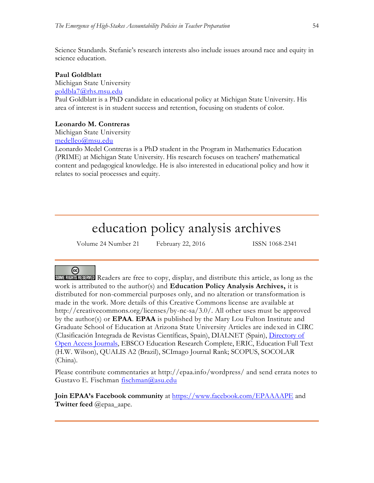Science Standards. Stefanie's research interests also include issues around race and equity in science education.

# **Paul Goldblatt**

Michigan State University [goldbla7@rhs.msu.edu](mailto:goldbla7@rhs.msu.edu) Paul Goldblatt is a PhD candidate in educational policy at Michigan State University. His area of interest is in student success and retention, focusing on students of color.

# **Leonardo M. Contreras**

Michigan State University

[medelleo@msu.edu](mailto:medelleo@msu.edu)

Leonardo Medel Contreras is a PhD student in the Program in Mathematics Education (PRIME) at Michigan State University. His research focuses on teachers' mathematical content and pedagogical knowledge. He is also interested in educational policy and how it relates to social processes and equity.

# education policy analysis archives

Volume 24 Number 21 February 22, 2016 ISSN 1068-2341

# ☺

SOME RIGHTS RESERVED Readers are free to copy, display, and distribute this article, as long as the work is attributed to the author(s) and **Education Policy Analysis Archives,** it is distributed for non-commercial purposes only, and no alteration or transformation is made in the work. More details of this Creative Commons license are available at http://creativecommons.org/licenses/by-nc-sa/3.0/. All other uses must be approved by the author(s) or **EPAA**. **EPAA** is published by the Mary Lou Fulton Institute and Graduate School of Education at Arizona State University Articles are indexed in CIRC (Clasificación Integrada de Revistas Científicas, Spain), DIALNET (Spain), [Directory of](http://www.doaj.org/)  [Open Access Journals,](http://www.doaj.org/) EBSCO Education Research Complete, ERIC, Education Full Text (H.W. Wilson), QUALIS A2 (Brazil), SCImago Journal Rank; SCOPUS, SOCOLAR (China).

Please contribute commentaries at http://epaa.info/wordpress/ and send errata notes to Gustavo E. Fischman [fischman@asu.edu](mailto:fischman@asu.edu)

**Join EPAA's Facebook community** at<https://www.facebook.com/EPAAAAPE> and **Twitter feed** @epaa\_aape.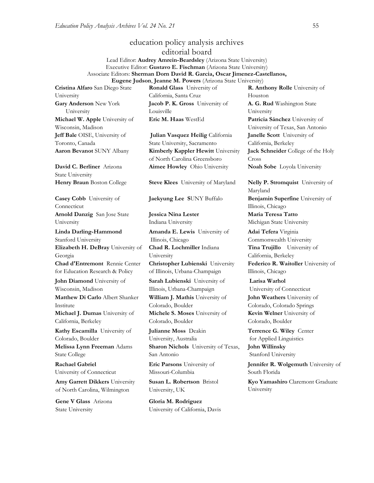# education policy analysis archives editorial board

Lead Editor: **Audrey Amrein-Beardsley** (Arizona State University) Executive Editor: **Gustavo E. Fischman** (Arizona State University) Associate Editors: **Sherman Dorn David R. Garcia, Oscar Jimenez-Castellanos, Eugene Judson**, **Jeanne M. Powers** (Arizona State University)

**Cristina Alfaro** San Diego State University **Gary Anderson** New York University **Michael W. Apple** University of Wisconsin, Madison **Jeff Bale** OISE, University of Toronto, Canada

**David C. Berliner** Arizona State University

**Casey Cobb** University of Connecticut **Arnold Danzig** San Jose State University

**Linda Darling-Hammond**  Stanford University **Elizabeth H. DeBray** University of Georgia **Chad d'Entremont** Rennie Center for Education Research & Policy **John Diamond** University of Wisconsin, Madison

**Matthew Di Carlo** Albert Shanker Institute **Michael J. Dumas** University of California, Berkeley

**Kathy Escamilla** University of Colorado, Boulder **Melissa Lynn Freeman** Adams State College

**Rachael Gabriel** University of Connecticut

**Amy Garrett Dikkers** University of North Carolina, Wilmington

**Gene V Glass** Arizona State University

**Ronald Glass** University of California, Santa Cruz **Jacob P. K. Gross** University of Louisville **Eric M. Haas** WestEd **Patricia Sánchez** University of

**Julian Vasquez Heilig** California State University, Sacramento **Aaron Bevanot** SUNY Albany **Kimberly Kappler Hewitt** University of North Carolina Greensboro **Aimee Howley** Ohio University **Noah Sobe** Loyola University

**Henry Braun** Boston College **Steve Klees** University of Maryland **Nelly P. Stromquist** University of

**Jessica Nina Lester** Indiana University

**Amanda E. Lewis** University of Illinois, Chicago **Chad R. Lochmiller** Indiana University **Christopher Lubienski** University of Illinois, Urbana-Champaign **Sarah Lubienski** University of

Illinois, Urbana-Champaign

**William J. Mathis** University of Colorado, Boulder **Michele S. Moses** University of Colorado, Boulder

**Julianne Moss** Deakin University, Australia **Sharon Nichols** University of Texas, San Antonio

**Eric Parsons** University of Missouri-Columbia

**Susan L. Robertson** Bristol University, UK

**Gloria M. Rodriguez** University of California, Davis **R. Anthony Rolle** University of Houston **A. G. Rud** Washington State University University of Texas, San Antonio **Janelle Scott** University of California, Berkeley **Jack Schneider** College of the Holy Cross

Maryland **Jaekyung Lee S**UNY Buffalo **Benjamin Superfine** University of Illinois, Chicago

> **Maria Teresa Tatto**  Michigan State University

**Adai Tefera** Virginia Commonwealth University **Tina Trujillo** University of California, Berkeley **Federico R. Waitoller** University of Illinois, Chicago

**Larisa Warhol** University of Connecticut

**John Weathers** University of Colorado, Colorado Springs **Kevin Welner** University of Colorado, Boulder

**Terrence G. Wiley** Center for Applied Linguistics **John Willinsky**  Stanford University

**Jennifer R. Wolgemuth** University of South Florida

**Kyo Yamashiro** Claremont Graduate University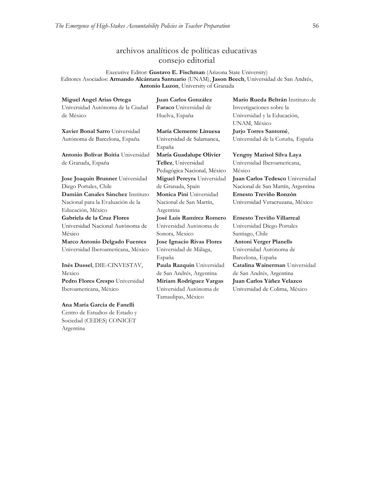# archivos analíticos de políticas educativas consejo editorial

Executive Editor: **Gustavo E. Fischman** (Arizona State University) Editores Asociados: **Armando Alcántara Santuario** (UNAM), **Jason Beech**, Universidad de San Andrés, **Antonio Luzon**, University of Granada

| <b>Miguel Angel Arias Ortega</b>   | Juan Carlos González             | Mario Rueda Beltrán Instituto de  |
|------------------------------------|----------------------------------|-----------------------------------|
| Universidad Autónoma de la Ciudad  | Faraco Universidad de            | Investigaciones sobre la          |
| de México                          | Huelva, España                   | Universidad y la Educación,       |
|                                    |                                  | UNAM, México                      |
| Xavier Bonal Sarro Universidad     | María Clemente Linuesa           | Jurjo Torres Santomé,             |
| Autónoma de Barcelona, España      | Universidad de Salamanca,        | Universidad de la Coruña, España  |
|                                    | España                           |                                   |
| Antonio Bolívar Boitia Universidad | María Guadalupe Olivier          | Yengny Marisol Silva Laya         |
| de Granada, España                 | Tellez, Universidad              | Universidad Iberoamericana,       |
|                                    | Pedagógica Nacional, México      | México                            |
| Jose Joaquin Brunner Universidad   | Miguel Pereyra Universidad       | Juan Carlos Tedesco Universidad   |
| Diego Portales, Chile              | de Granada, Spain                | Nacional de San Martín, Argentina |
| Damián Canales Sánchez Instituto   | Monica Pini Universidad          | Ernesto Treviño Ronzón            |
| Nacional para la Evaluación de la  | Nacional de San Martín,          | Universidad Veracruzana, México   |
| Educación, México                  | Argentina                        |                                   |
| Gabriela de la Cruz Flores         | José Luis Ramírez Romero         | Ernesto Treviño Villarreal        |
| Universidad Nacional Autónoma de   | Universidad Autónoma de          | Universidad Diego Portales        |
| México                             | Sonora, Mexico                   | Santiago, Chile                   |
| Marco Antonio Delgado Fuentes      | <b>Jose Ignacio Rivas Flores</b> | <b>Antoni Verger Planells</b>     |
| Universidad Iberoamericana, México | Universidad de Málaga,           | Universidad Autónoma de           |
|                                    | España                           | Barcelona, España                 |
| Inés Dussel, DIE-CINVESTAV,        | Paula Razquin Universidad        | Catalina Wainerman Universidad    |
| Mexico                             | de San Andrés, Argentina         | de San Andrés, Argentina          |
| Pedro Flores Crespo Universidad    | Miriam Rodríguez Vargas          | Juan Carlos Yáñez Velazco         |
| Iberoamericana, México             | Universidad Autónoma de          | Universidad de Colima, México     |
|                                    | Tamaulipas, México               |                                   |
| Ana María García de Fanelli        |                                  |                                   |
| Centro de Estudios de Estado y     |                                  |                                   |
| Sociedad (CEDES) CONICET           |                                  |                                   |

Argentina